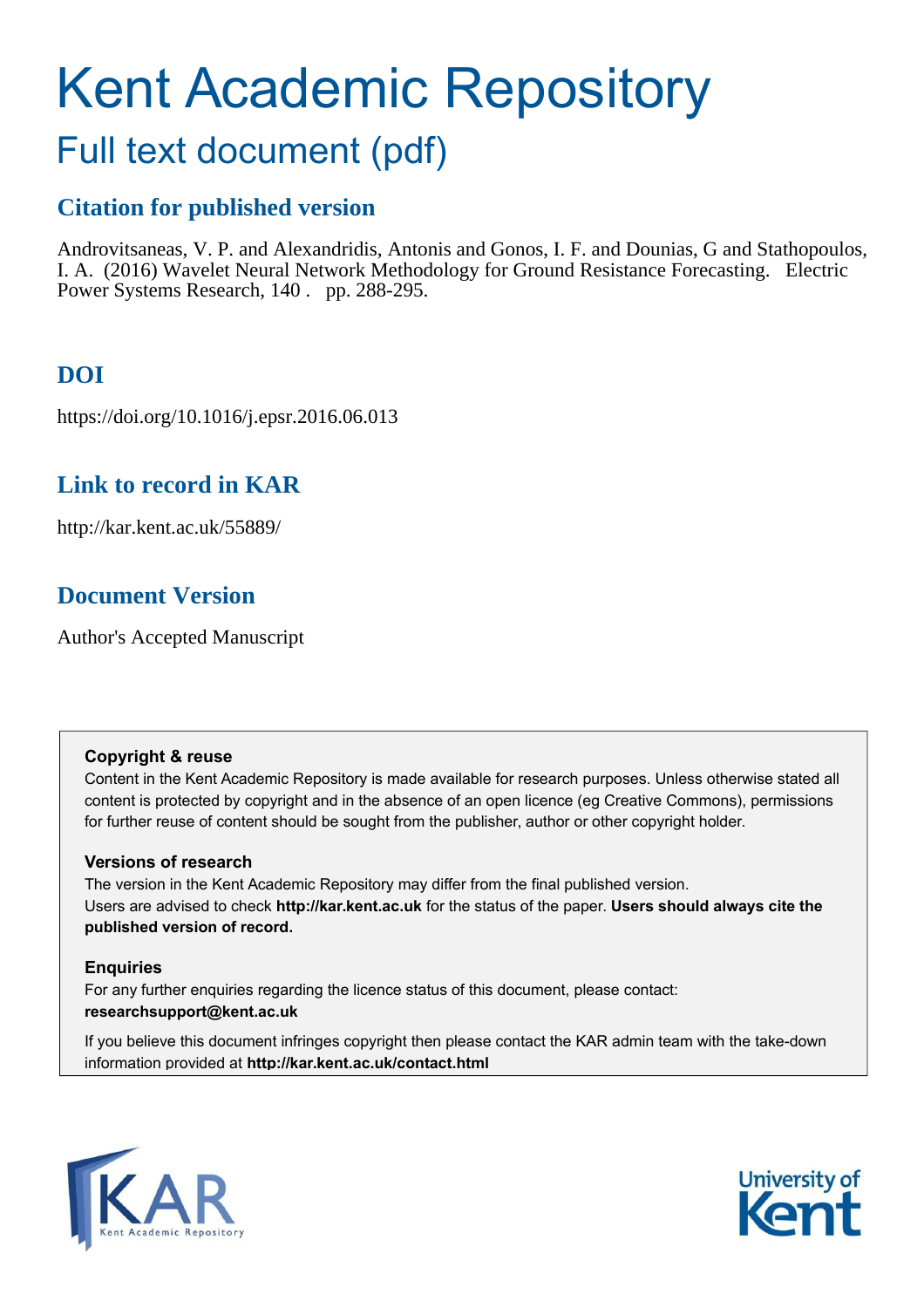# Kent Academic Repository

## Full text document (pdf)

## **Citation for published version**

<span id="page-0-0"></span>Androvitsaneas, V. P. and Alexandridis, Antonis and Gonos, I. F. and Dounias, G and Stathopoulos, I. A. (2016) Wavelet Neural Network Methodology for Ground Resistance Forecasting. Electric Power Systems Research, 140 . pp. 288-295.

## **DOI**

https://doi.org/10.1016/j.epsr.2016.06.013

## **Link to record in KAR**

http://kar.kent.ac.uk/55889/

## **Document Version**

Author's Accepted Manuscript

#### **Copyright & reuse**

Content in the Kent Academic Repository is made available for research purposes. Unless otherwise stated all content is protected by copyright and in the absence of an open licence (eg Creative Commons), permissions for further reuse of content should be sought from the publisher, author or other copyright holder.

#### **Versions of research**

The version in the Kent Academic Repository may differ from the final published version. Users are advised to check **http://kar.kent.ac.uk** for the status of the paper. **Users should always cite the published version of record.**

#### **Enquiries**

For any further enquiries regarding the licence status of this document, please contact: **researchsupport@kent.ac.uk**

If you believe this document infringes copyright then please contact the KAR admin team with the take-down information provided at **http://kar.kent.ac.uk/contact.html**



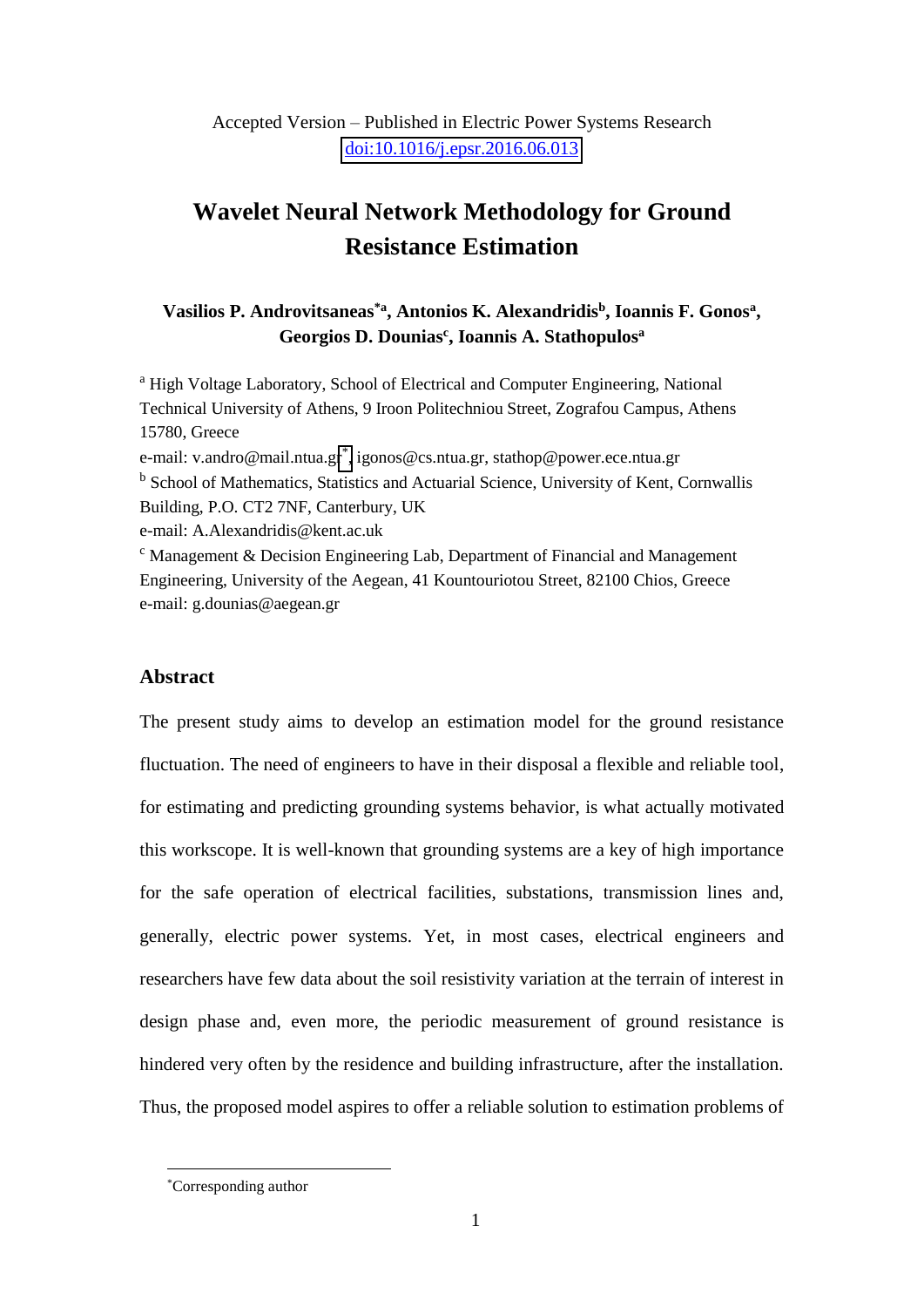#### Accepted Version – Published in Electric Power Systems Research [doi:10.1016/j.epsr.2016.06.013](http://dx.doi.org/10.1016/j.epsr.2016.06.013)

## **Wavelet Neural Network Methodology for Ground Resistance Estimation**

#### **Vasilios P. Androvitsaneas\*a, Antonios K. Alexandridis<sup>b</sup> , Ioannis F. Gonos<sup>a</sup> , Georgios D. Dounias<sup>c</sup> , Ioannis A. Stathopulos<sup>a</sup>**

<sup>a</sup> High Voltage Laboratory, School of Electrical and Computer Engineering, National Technical University of Athens, 9 Iroon Politechniou Street, Zografou Campus, Athens 15780, Greece e-mail: v.andro@mail.ntua.gr[\\*](#page-0-0) , igonos@cs.ntua.gr, stathop@power.ece.ntua.gr <sup>b</sup> School of Mathematics, Statistics and Actuarial Science, University of Kent, Cornwallis Building, P.O. CT2 7NF, Canterbury, UK e-mail: A.Alexandridis@kent.ac.uk <sup>c</sup> Management & Decision Engineering Lab, Department of Financial and Management Engineering, University of the Aegean, 41 Kountouriotou Street, 82100 Chios, Greece e-mail: g.dounias@aegean.gr

#### **Abstract**

The present study aims to develop an estimation model for the ground resistance fluctuation. The need of engineers to have in their disposal a flexible and reliable tool, for estimating and predicting grounding systems behavior, is what actually motivated this workscope. It is well-known that grounding systems are a key of high importance for the safe operation of electrical facilities, substations, transmission lines and, generally, electric power systems. Yet, in most cases, electrical engineers and researchers have few data about the soil resistivity variation at the terrain of interest in design phase and, even more, the periodic measurement of ground resistance is hindered very often by the residence and building infrastructure, after the installation. Thus, the proposed model aspires to offer a reliable solution to estimation problems of

 $\overline{a}$ \*Corresponding author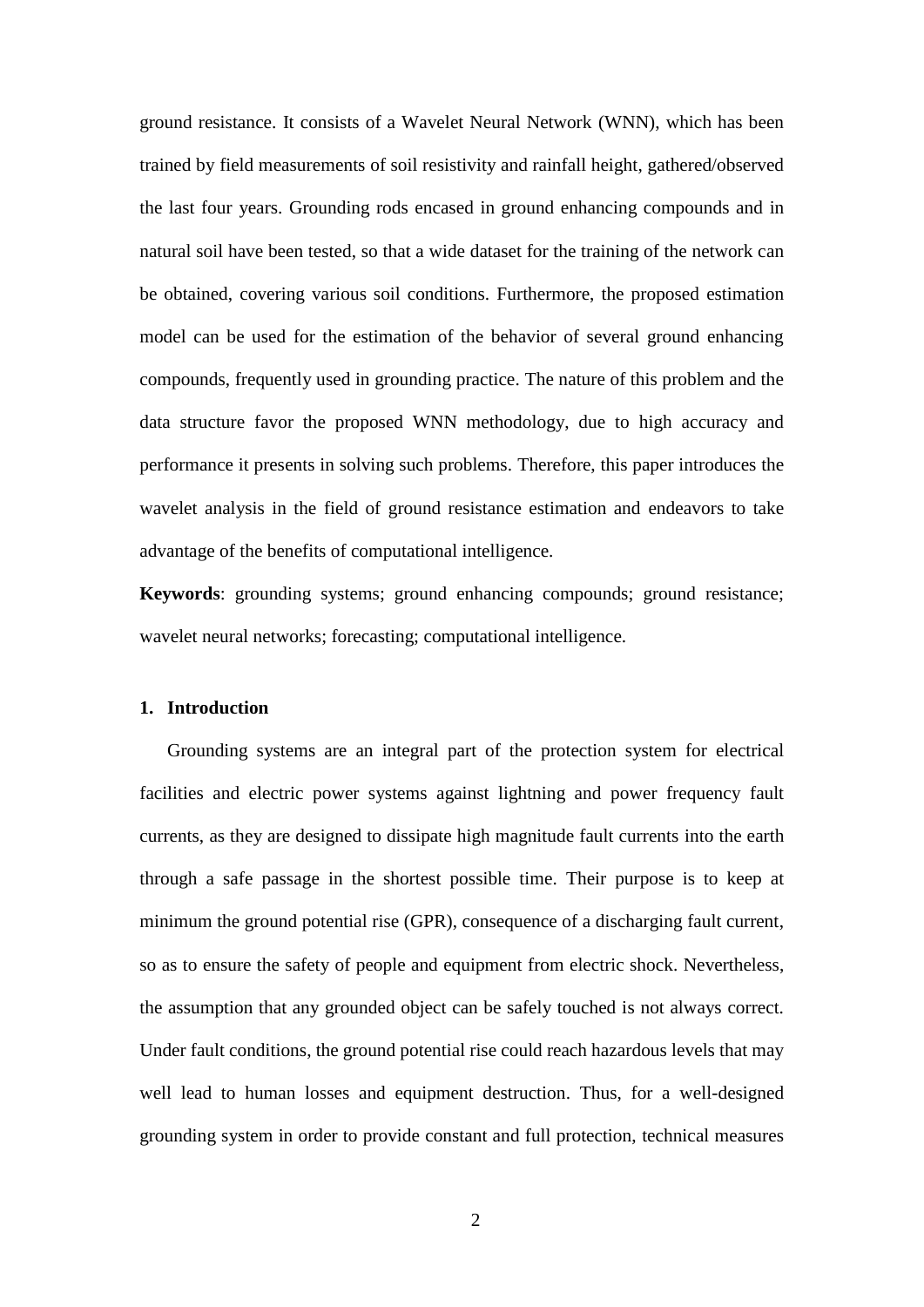ground resistance. It consists of a Wavelet Neural Network (WNN), which has been trained by field measurements of soil resistivity and rainfall height, gathered/observed the last four years. Grounding rods encased in ground enhancing compounds and in natural soil have been tested, so that a wide dataset for the training of the network can be obtained, covering various soil conditions. Furthermore, the proposed estimation model can be used for the estimation of the behavior of several ground enhancing compounds, frequently used in grounding practice. The nature of this problem and the data structure favor the proposed WNN methodology, due to high accuracy and performance it presents in solving such problems. Therefore, this paper introduces the wavelet analysis in the field of ground resistance estimation and endeavors to take advantage of the benefits of computational intelligence.

**Keywords**: grounding systems; ground enhancing compounds; ground resistance; wavelet neural networks; forecasting; computational intelligence.

#### **1. Introduction**

Grounding systems are an integral part of the protection system for electrical facilities and electric power systems against lightning and power frequency fault currents, as they are designed to dissipate high magnitude fault currents into the earth through a safe passage in the shortest possible time. Their purpose is to keep at minimum the ground potential rise (GPR), consequence of a discharging fault current, so as to ensure the safety of people and equipment from electric shock. Nevertheless, the assumption that any grounded object can be safely touched is not always correct. Under fault conditions, the ground potential rise could reach hazardous levels that may well lead to human losses and equipment destruction. Thus, for a well-designed grounding system in order to provide constant and full protection, technical measures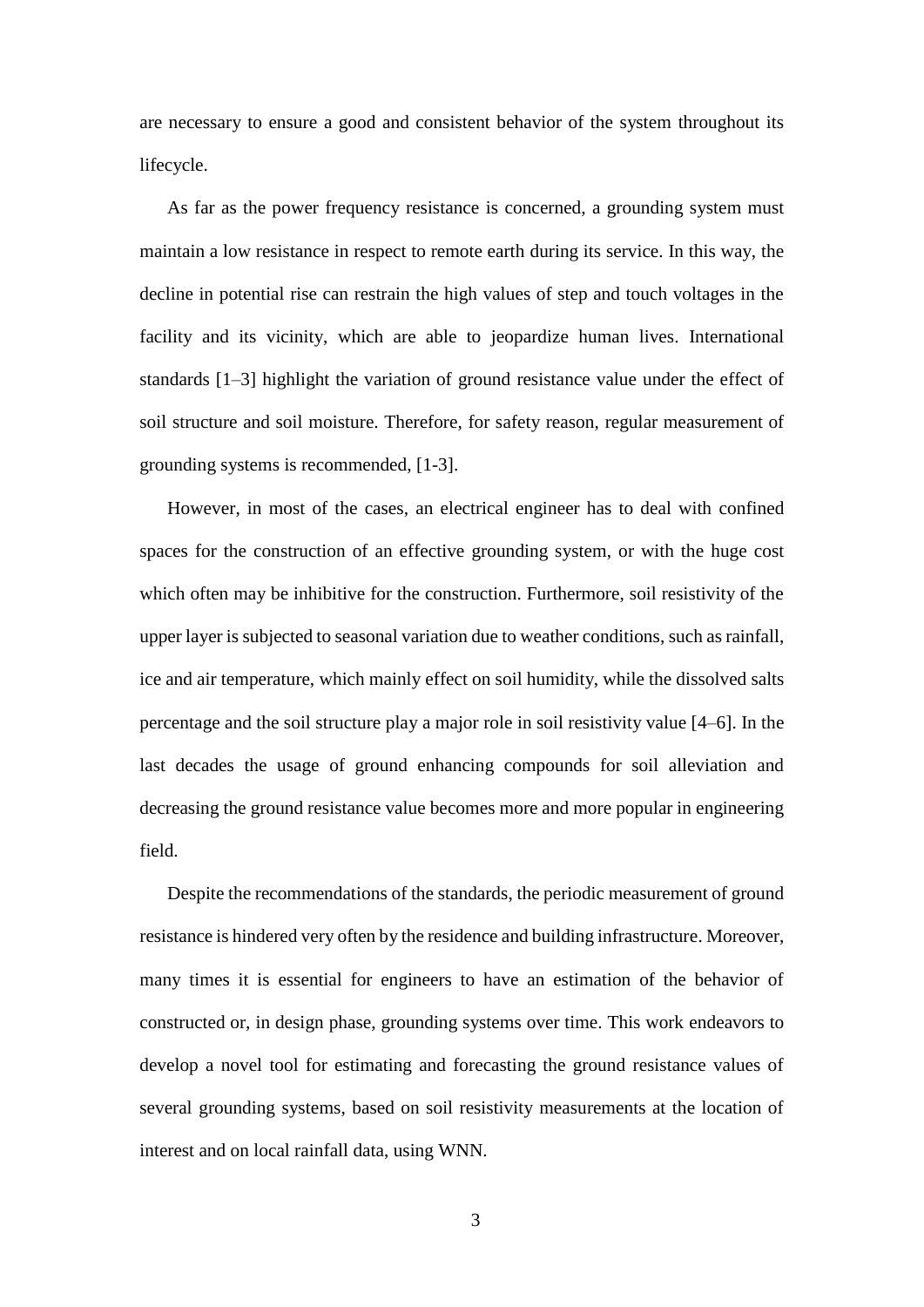are necessary to ensure a good and consistent behavior of the system throughout its lifecycle.

As far as the power frequency resistance is concerned, a grounding system must maintain a low resistance in respect to remote earth during its service. In this way, the decline in potential rise can restrain the high values of step and touch voltages in the facility and its vicinity, which are able to jeopardize human lives. International standards [1–3] highlight the variation of ground resistance value under the effect of soil structure and soil moisture. Therefore, for safety reason, regular measurement of grounding systems is recommended, [1-3].

However, in most of the cases, an electrical engineer has to deal with confined spaces for the construction of an effective grounding system, or with the huge cost which often may be inhibitive for the construction. Furthermore, soil resistivity of the upper layer is subjected to seasonal variation due to weather conditions, such as rainfall, ice and air temperature, which mainly effect on soil humidity, while the dissolved salts percentage and the soil structure play a major role in soil resistivity value [4–6]. In the last decades the usage of ground enhancing compounds for soil alleviation and decreasing the ground resistance value becomes more and more popular in engineering field.

Despite the recommendations of the standards, the periodic measurement of ground resistance is hindered very often by the residence and building infrastructure. Moreover, many times it is essential for engineers to have an estimation of the behavior of constructed or, in design phase, grounding systems over time. This work endeavors to develop a novel tool for estimating and forecasting the ground resistance values of several grounding systems, based on soil resistivity measurements at the location of interest and on local rainfall data, using WNN.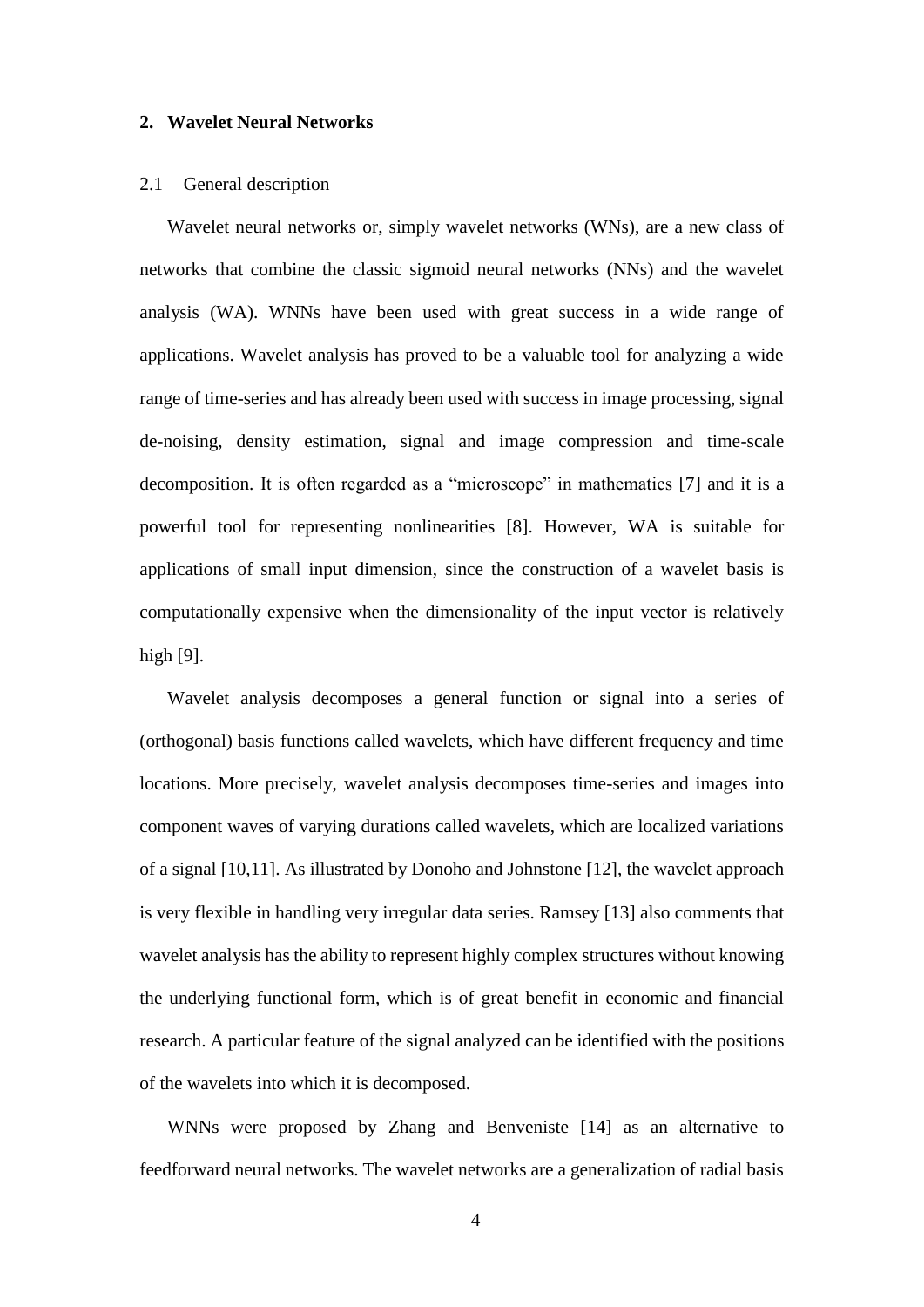#### **2. Wavelet Neural Networks**

#### 2.1 General description

Wavelet neural networks or, simply wavelet networks (WNs), are a new class of networks that combine the classic sigmoid neural networks (NNs) and the wavelet analysis (WA). WNNs have been used with great success in a wide range of applications. Wavelet analysis has proved to be a valuable tool for analyzing a wide range of time-series and has already been used with success in image processing, signal de-noising, density estimation, signal and image compression and time-scale decomposition. It is often regarded as a "microscope" in mathematics [7] and it is a powerful tool for representing nonlinearities [8]. However, WA is suitable for applications of small input dimension, since the construction of a wavelet basis is computationally expensive when the dimensionality of the input vector is relatively high [9].

Wavelet analysis decomposes a general function or signal into a series of (orthogonal) basis functions called wavelets, which have different frequency and time locations. More precisely, wavelet analysis decomposes time-series and images into component waves of varying durations called wavelets, which are localized variations of a signal [10,11]. As illustrated by Donoho and Johnstone [12], the wavelet approach is very flexible in handling very irregular data series. Ramsey [13] also comments that wavelet analysis has the ability to represent highly complex structures without knowing the underlying functional form, which is of great benefit in economic and financial research. A particular feature of the signal analyzed can be identified with the positions of the wavelets into which it is decomposed.

WNNs were proposed by Zhang and Benveniste [14] as an alternative to feedforward neural networks. The wavelet networks are a generalization of radial basis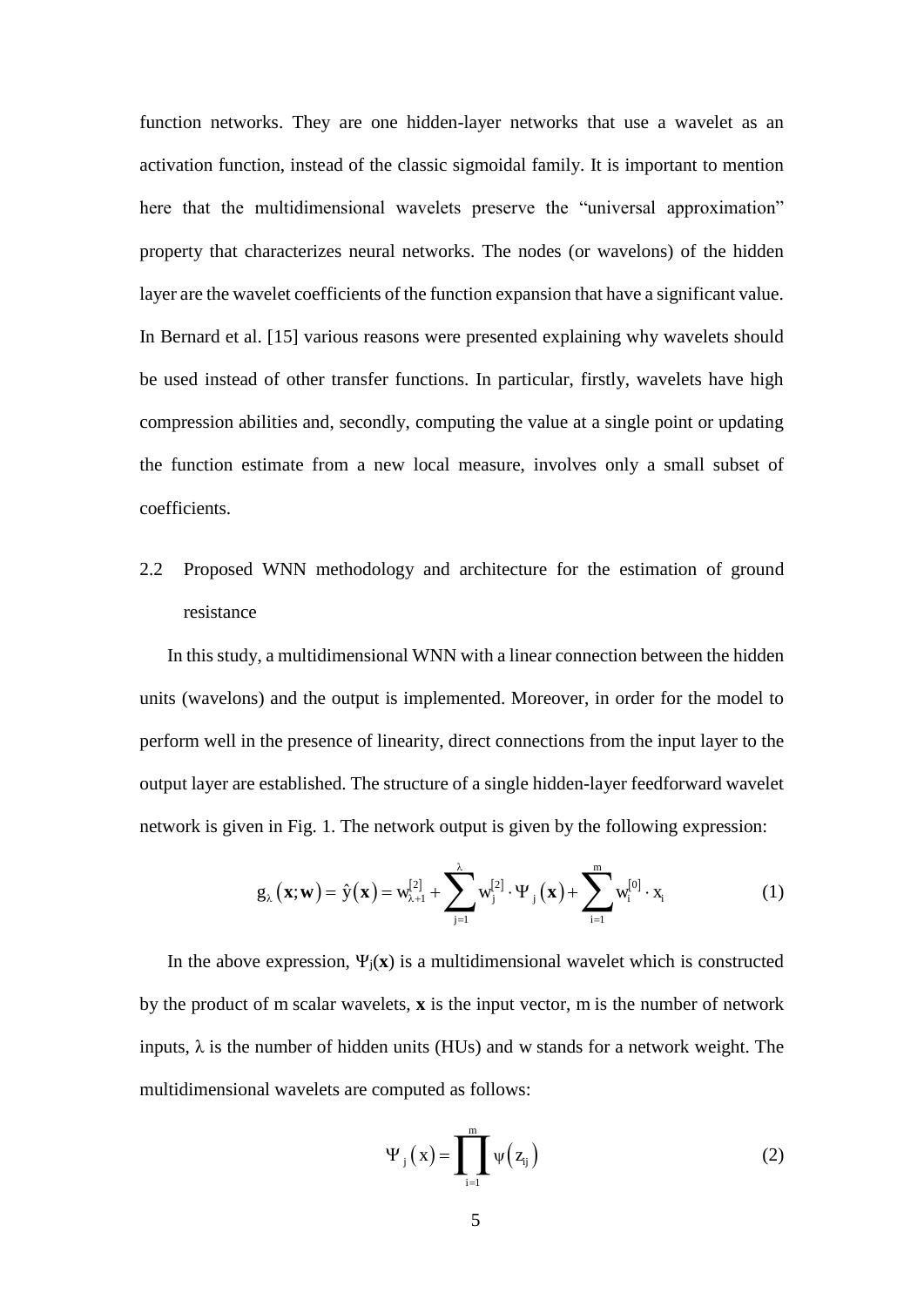function networks. They are one hidden-layer networks that use a wavelet as an activation function, instead of the classic sigmoidal family. It is important to mention here that the multidimensional wavelets preserve the "universal approximation" property that characterizes neural networks. The nodes (or wavelons) of the hidden layer are the wavelet coefficients of the function expansion that have a significant value. In Bernard et al. [15] various reasons were presented explaining why wavelets should be used instead of other transfer functions. In particular, firstly, wavelets have high compression abilities and, secondly, computing the value at a single point or updating the function estimate from a new local measure, involves only a small subset of coefficients.

## 2.2 Proposed WNN methodology and architecture for the estimation of ground resistance

In this study, a multidimensional WNN with a linear connection between the hidden units (wavelons) and the output is implemented. Moreover, in order for the model to perform well in the presence of linearity, direct connections from the input layer to the output layer are established. The structure of a single hidden-layer feedforward wavelet network is given in Fig. 1. The network output is given by the following expression:

$$
g_{\lambda}\left(\mathbf{x};\mathbf{w}\right) = \hat{\mathbf{y}}\left(\mathbf{x}\right) = w_{\lambda+1}^{[2]} + \sum_{j=1}^{\lambda} w_j^{[2]} \cdot \Psi_j\left(\mathbf{x}\right) + \sum_{i=1}^{m} w_i^{[0]} \cdot \mathbf{x}_i
$$
 (1)

In the above expression,  $\Psi_i(\mathbf{x})$  is a multidimensional wavelet which is constructed by the product of m scalar wavelets, **x** is the input vector, m is the number of network inputs,  $\lambda$  is the number of hidden units (HUs) and w stands for a network weight. The multidimensional wavelets are computed as follows:

$$
\Psi_{j}\left(x\right) = \prod_{i=1}^{m} \psi\left(z_{ij}\right) \tag{2}
$$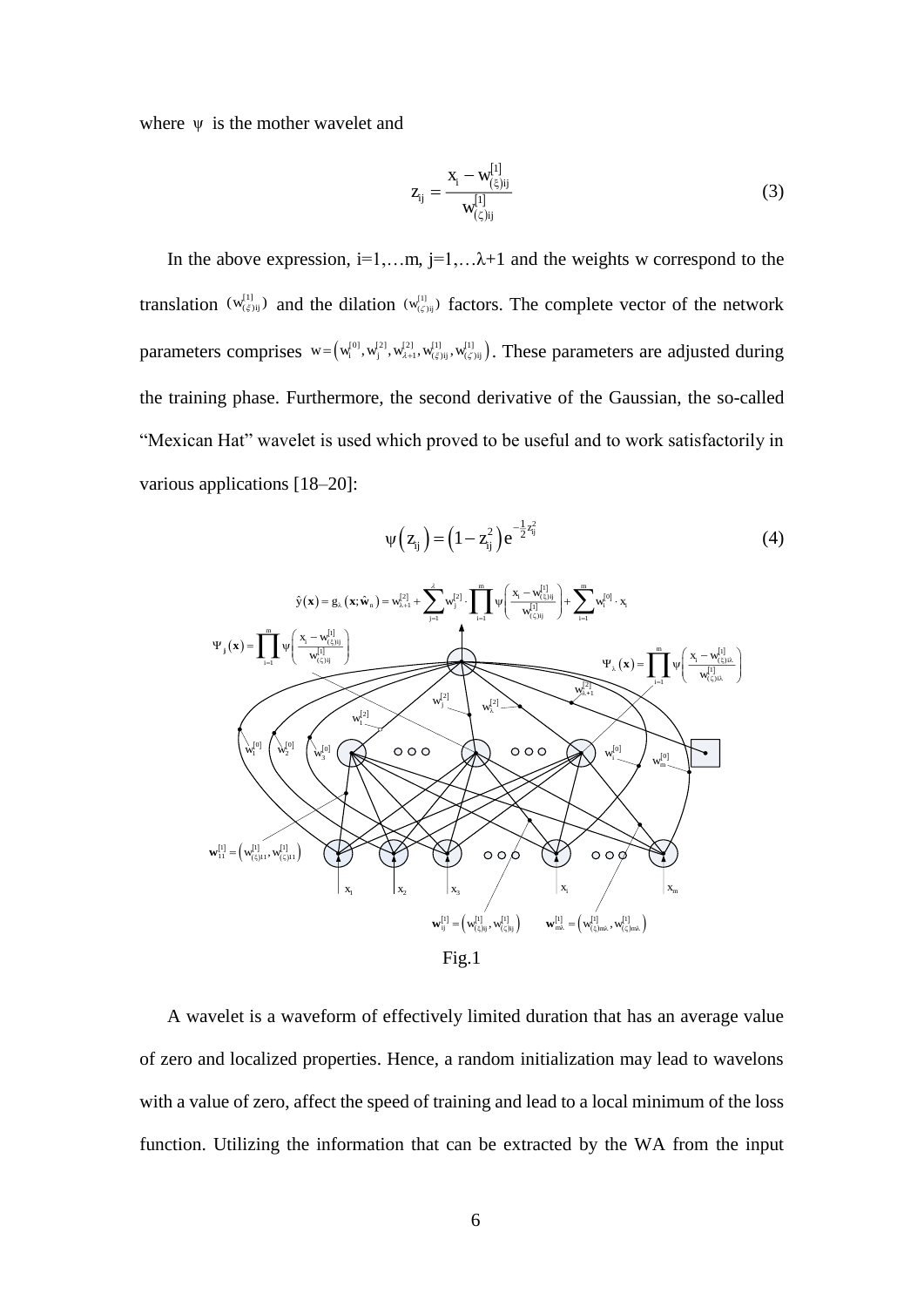where  $\psi$  is the mother wavelet and

$$
z_{ij} = \frac{x_i - w_{(\xi)ij}^{[1]}}{w_{(\xi)ij}^{[1]}}
$$
(3)

In the above expression,  $i=1,...m$ ,  $j=1,...\lambda+1$  and the weights w correspond to the translation  $(w_{(\xi)}^{[1]})$  and the dilation  $(w_{(\xi)}^{[1]})$  factors. The complete vector of the network parameters comprises  $w = (w_i^{0}w_i^{2}, w_{i+1}^{2}, w_{i+1}^{1}w_{i+1}^{1}w_{i+1}^{1}w_{i+1}^{1})$ . These parameters are adjusted during the training phase. Furthermore, the second derivative of the Gaussian, the so-called "Mexican Hat" wavelet is used which proved to be useful and to work satisfactorily in various applications [18–20]:

$$
\psi(z_{ij}) = (1 - z_{ij}^2) e^{-\frac{1}{2}z_{ij}^2}
$$
 (4)



Fig.1

A wavelet is a waveform of effectively limited duration that has an average value of zero and localized properties. Hence, a random initialization may lead to wavelons with a value of zero, affect the speed of training and lead to a local minimum of the loss function. Utilizing the information that can be extracted by the WA from the input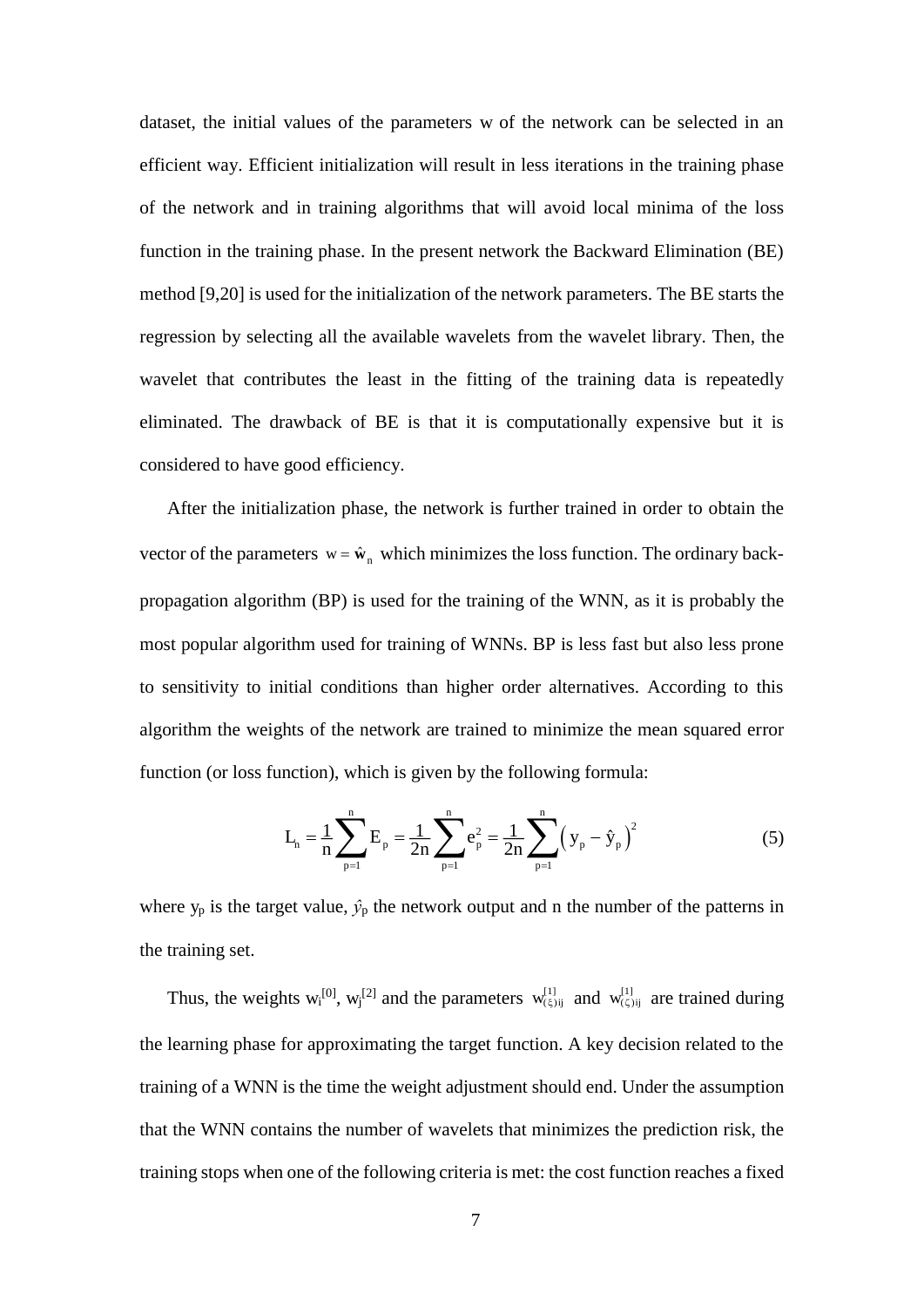dataset, the initial values of the parameters w of the network can be selected in an efficient way. Efficient initialization will result in less iterations in the training phase of the network and in training algorithms that will avoid local minima of the loss function in the training phase. In the present network the Backward Elimination (BE) method [9,20] is used for the initialization of the network parameters. The BE starts the regression by selecting all the available wavelets from the wavelet library. Then, the wavelet that contributes the least in the fitting of the training data is repeatedly eliminated. The drawback of BE is that it is computationally expensive but it is considered to have good efficiency.

After the initialization phase, the network is further trained in order to obtain the vector of the parameters  $w = \hat{w}_n$  which minimizes the loss function. The ordinary backpropagation algorithm (BP) is used for the training of the WNN, as it is probably the most popular algorithm used for training of WNNs. BP is less fast but also less prone to sensitivity to initial conditions than higher order alternatives. According to this algorithm the weights of the network are trained to minimize the mean squared error function (or loss function), which is given by the following formula:

$$
L_{n} = \frac{1}{n} \sum_{p=1}^{n} E_{p} = \frac{1}{2n} \sum_{p=1}^{n} e_{p}^{2} = \frac{1}{2n} \sum_{p=1}^{n} (y_{p} - \hat{y}_{p})^{2}
$$
(5)

where  $y_p$  is the target value,  $\hat{y}_p$  the network output and n the number of the patterns in the training set.

Thus, the weights  $w_i^{[0]}$ ,  $w_j^{[2]}$  and the parameters  $w_{(\xi)ij}^{[1]}$  and  $w_{(\zeta)ij}^{[1]}$  are trained during the learning phase for approximating the target function. A key decision related to the training of a WNN is the time the weight adjustment should end. Under the assumption that the WNN contains the number of wavelets that minimizes the prediction risk, the training stops when one of the following criteria is met: the cost function reaches a fixed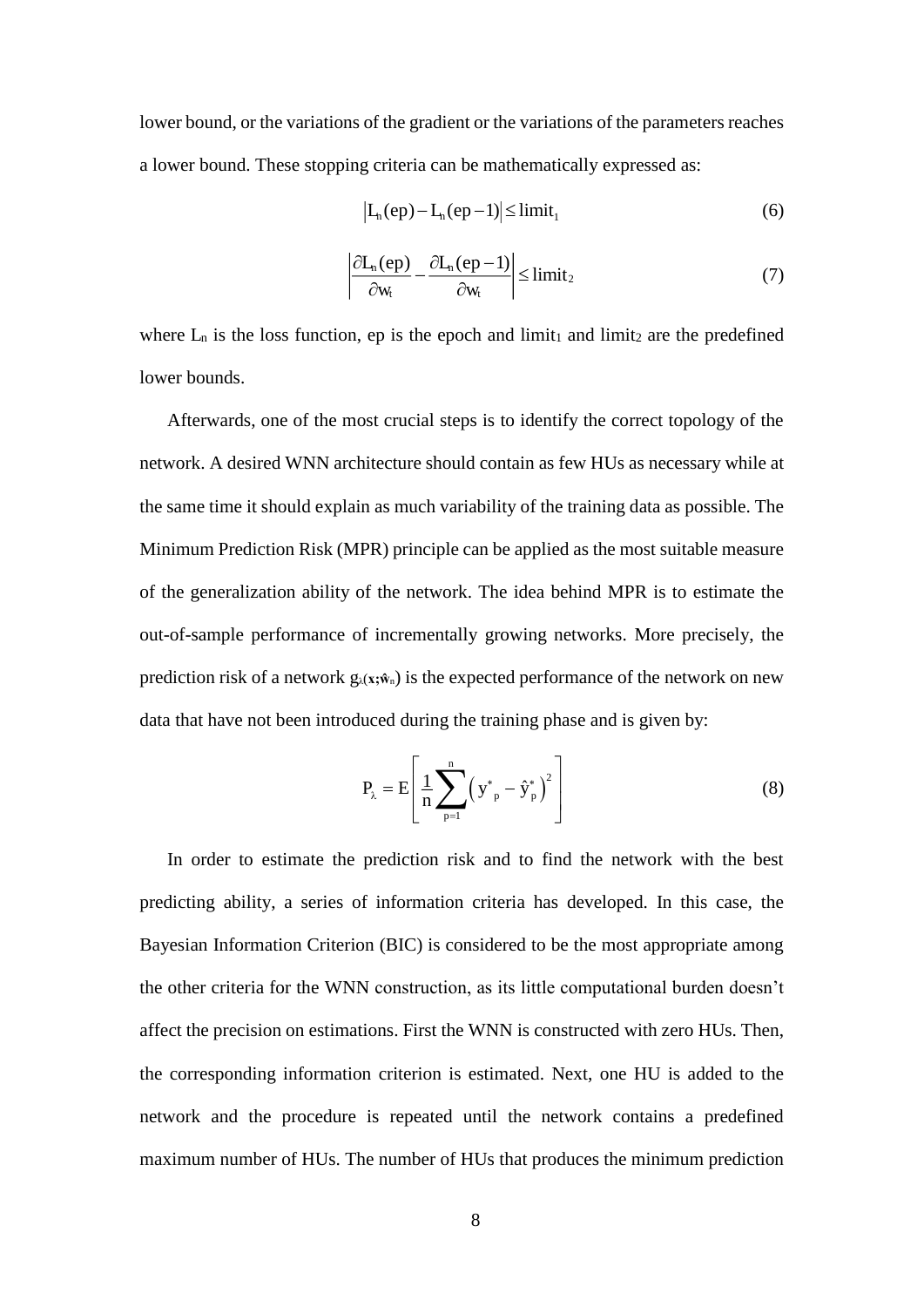lower bound, or the variations of the gradient or the variations of the parameters reaches a lower bound. These stopping criteria can be mathematically expressed as:

$$
\left| L_n(ep) - L_n(ep-1) \right| \leq \lim_{t_1} \tag{6}
$$

$$
\left| \frac{\partial L_n(ep)}{\partial w_t} - \frac{\partial L_n(ep-1)}{\partial w_t} \right| \leq \text{limit}_2 \tag{7}
$$

where  $L_n$  is the loss function, ep is the epoch and limit<sub>1</sub> and limit<sub>2</sub> are the predefined lower bounds.

Afterwards, one of the most crucial steps is to identify the correct topology of the network. A desired WNN architecture should contain as few HUs as necessary while at the same time it should explain as much variability of the training data as possible. The Minimum Prediction Risk (MPR) principle can be applied as the most suitable measure of the generalization ability of the network. The idea behind MPR is to estimate the out-of-sample performance of incrementally growing networks. More precisely, the prediction risk of a network  $g_{\lambda}(x;\hat{w}_n)$  is the expected performance of the network on new data that have not been introduced during the training phase and is given by:

$$
P_{\lambda} = E \left[ \frac{1}{n} \sum_{p=1}^{n} (y_{p}^{*} - \hat{y}_{p}^{*})^{2} \right]
$$
 (8)

In order to estimate the prediction risk and to find the network with the best predicting ability, a series of information criteria has developed. In this case, the Bayesian Information Criterion (BIC) is considered to be the most appropriate among the other criteria for the WNN construction, as its little computational burden doesn't affect the precision on estimations. First the WNN is constructed with zero HUs. Then, the corresponding information criterion is estimated. Next, one HU is added to the network and the procedure is repeated until the network contains a predefined maximum number of HUs. The number of HUs that produces the minimum prediction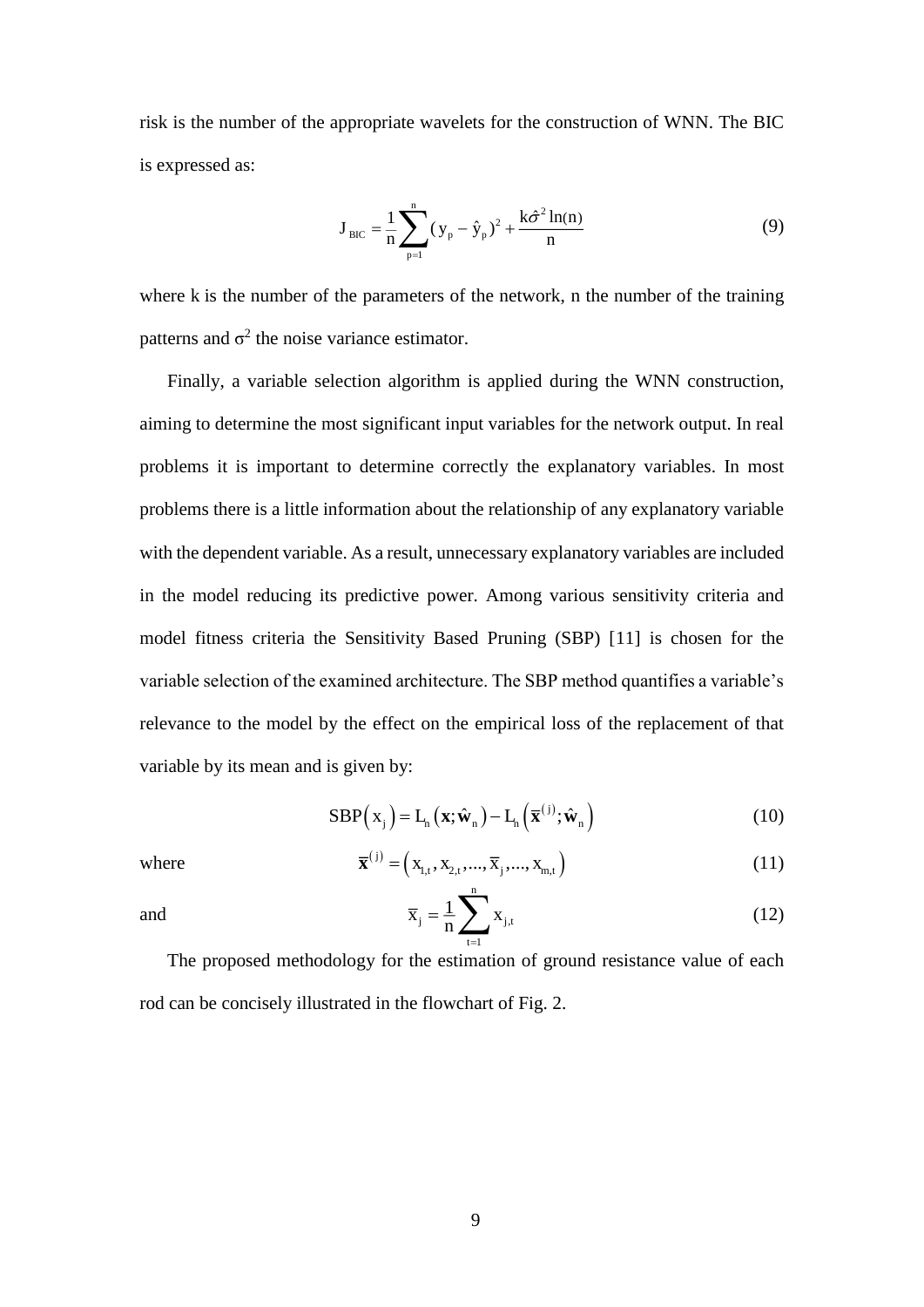risk is the number of the appropriate wavelets for the construction of WNN. The BIC is expressed as:

$$
J_{\text{BIC}} = \frac{1}{n} \sum_{p=1}^{n} (y_p - \hat{y}_p)^2 + \frac{k \hat{\sigma}^2 \ln(n)}{n}
$$
(9)

where k is the number of the parameters of the network, n the number of the training patterns and  $\sigma^2$  the noise variance estimator.

Finally, a variable selection algorithm is applied during the WNN construction, aiming to determine the most significant input variables for the network output. In real problems it is important to determine correctly the explanatory variables. In most problems there is a little information about the relationship of any explanatory variable with the dependent variable. As a result, unnecessary explanatory variables are included in the model reducing its predictive power. Among various sensitivity criteria and model fitness criteria the Sensitivity Based Pruning (SBP) [11] is chosen for the variable selection of the examined architecture. The SBP method quantifies a variable's relevance to the model by the effect on the empirical loss of the replacement of that variable by its mean and is given by:

$$
SBP\left(\mathbf{x}_{j}\right)=\mathbf{L}_{h}\left(\mathbf{x};\hat{\mathbf{w}}_{n}\right)-\mathbf{L}_{h}\left(\overline{\mathbf{x}}^{(j)};\hat{\mathbf{w}}_{n}\right) \tag{10}
$$

where 
$$
\overline{\mathbf{x}}^{(j)} = (x_{1,t}, x_{2,t}, ..., \overline{x}_j, ..., x_{m,t})
$$
 (11)

and

$$
\overline{\mathbf{x}}_{j} = \frac{1}{n} \sum_{t=1}^{\infty} \mathbf{x}_{j,t}
$$
 (12)

The proposed methodology for the estimation of ground resistance value of each rod can be concisely illustrated in the flowchart of Fig. 2.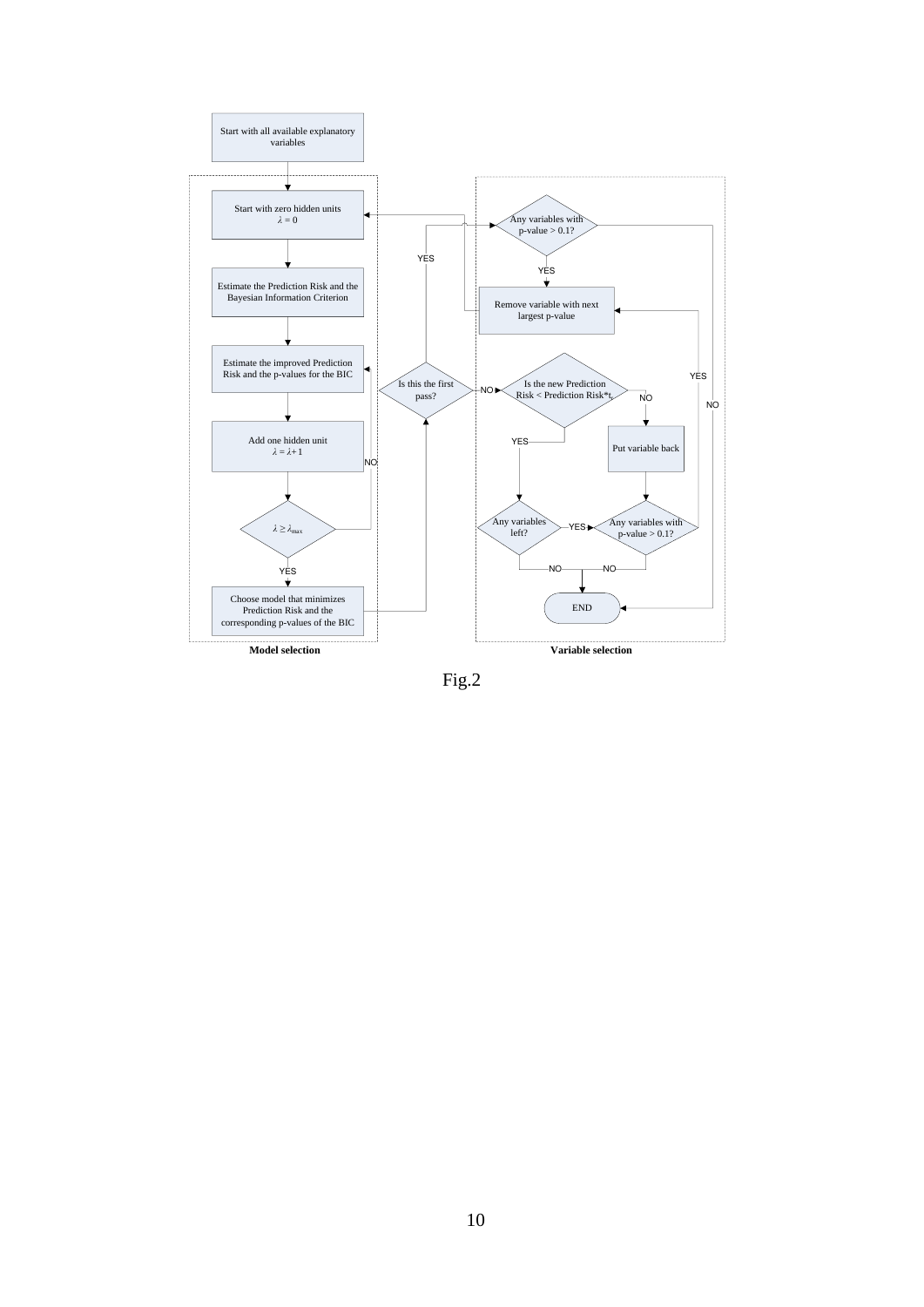

Fig.2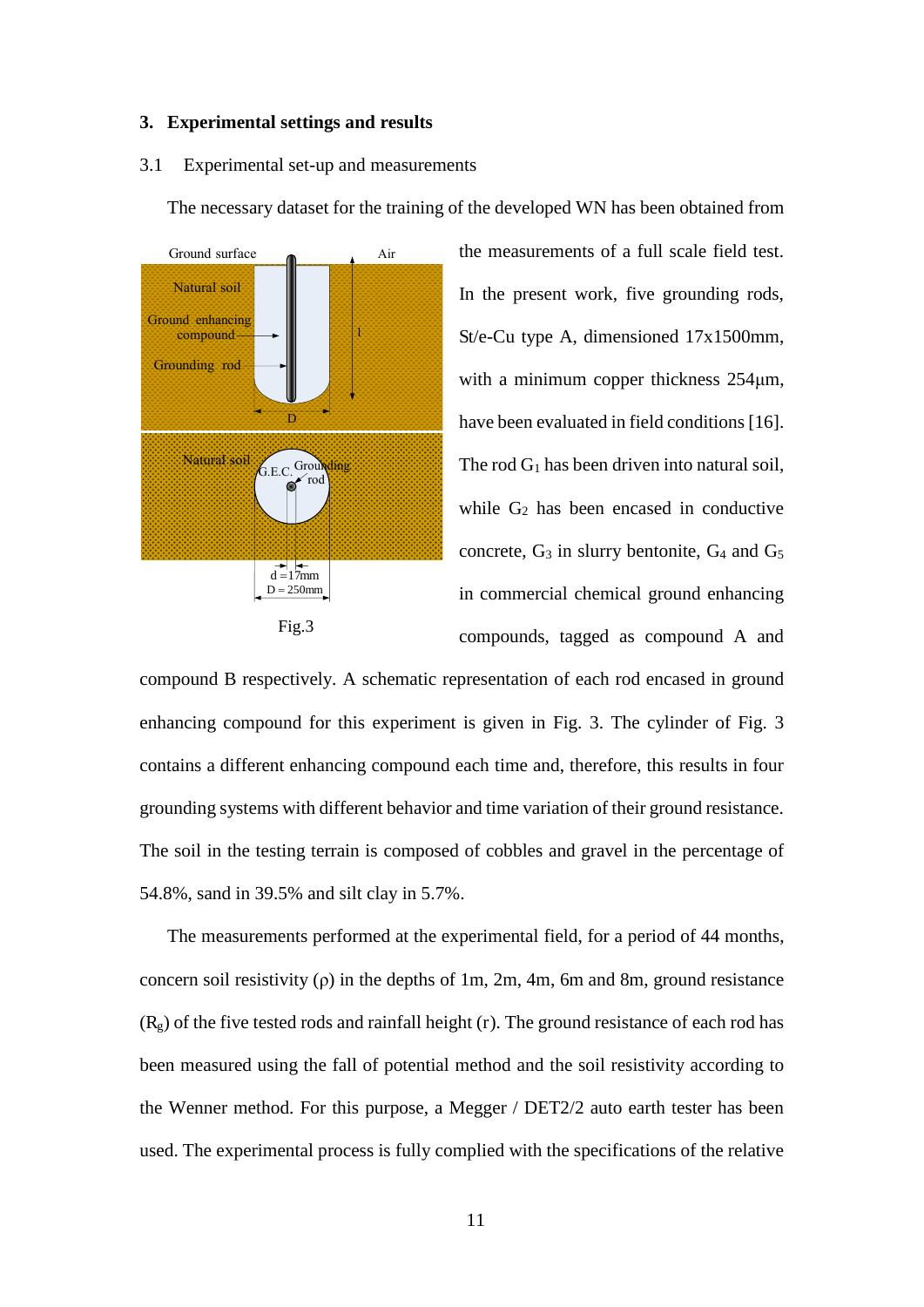#### **3. Experimental settings and results**

#### 3.1 Experimental set-up and measurements

The necessary dataset for the training of the developed WN has been obtained from



the measurements of a full scale field test. In the present work, five grounding rods, St/e-Cu type A, dimensioned 17x1500mm, with a minimum copper thickness  $254\mu m$ , have been evaluated in field conditions [16]. The rod  $G_1$  has been driven into natural soil, while  $G_2$  has been encased in conductive concrete,  $G_3$  in slurry bentonite,  $G_4$  and  $G_5$ in commercial chemical ground enhancing compounds, tagged as compound A and

compound B respectively. A schematic representation of each rod encased in ground enhancing compound for this experiment is given in Fig. 3. The cylinder of Fig. 3 contains a different enhancing compound each time and, therefore, this results in four grounding systems with different behavior and time variation of their ground resistance. The soil in the testing terrain is composed of cobbles and gravel in the percentage of 54.8%, sand in 39.5% and silt clay in 5.7%.

The measurements performed at the experimental field, for a period of 44 months, concern soil resistivity ( $\rho$ ) in the depths of 1m, 2m, 4m, 6m and 8m, ground resistance  $(R_g)$  of the five tested rods and rainfall height (r). The ground resistance of each rod has been measured using the fall of potential method and the soil resistivity according to the Wenner method. For this purpose, a Megger / DET2/2 auto earth tester has been used. The experimental process is fully complied with the specifications of the relative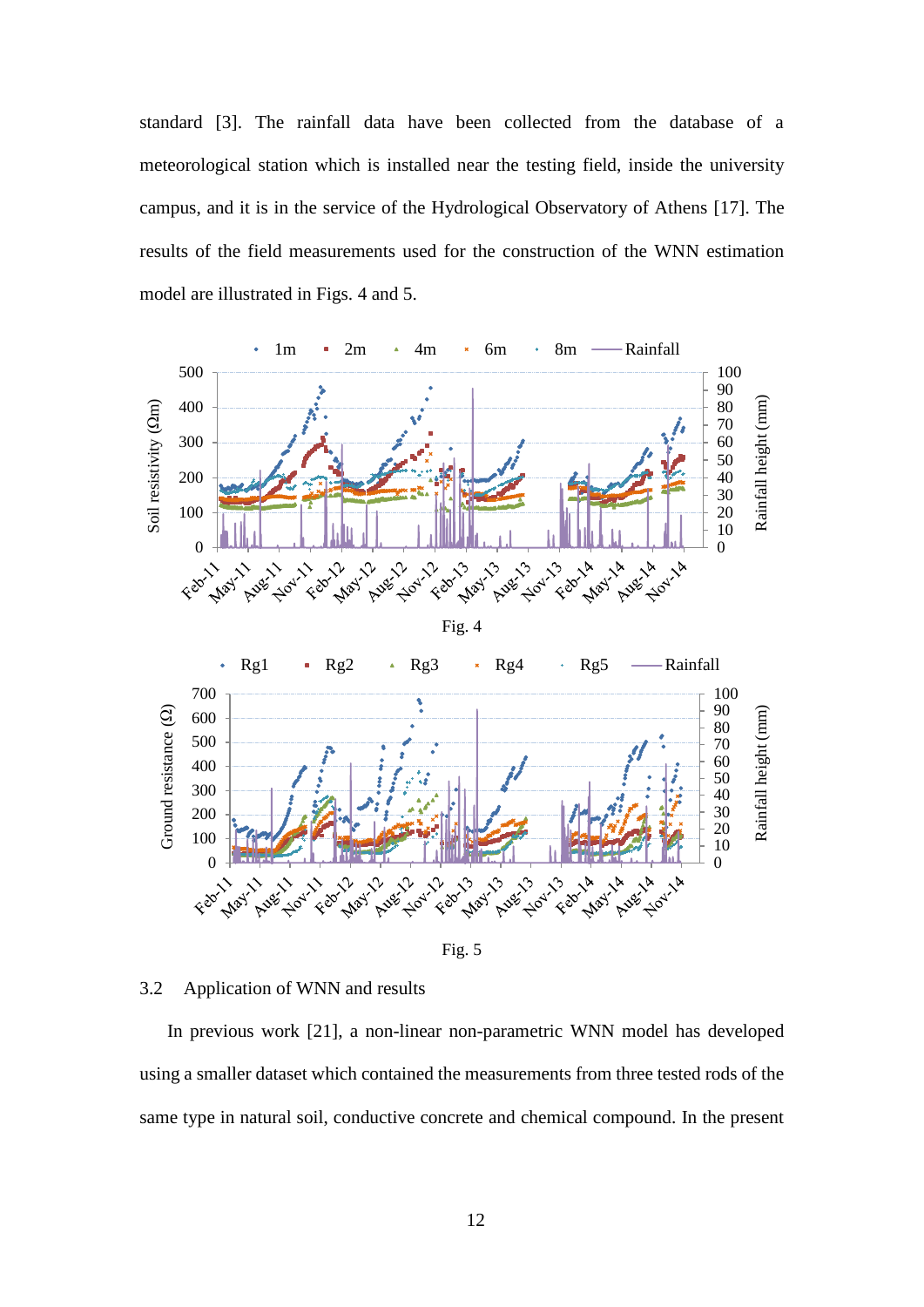standard [3]. The rainfall data have been collected from the database of a meteorological station which is installed near the testing field, inside the university campus, and it is in the service of the Hydrological Observatory of Athens [17]. The results of the field measurements used for the construction of the WNN estimation model are illustrated in Figs. 4 and 5.



Fig. 5

#### 3.2 Application of WNN and results

In previous work [21], a non-linear non-parametric WNN model has developed using a smaller dataset which contained the measurements from three tested rods of the same type in natural soil, conductive concrete and chemical compound. In the present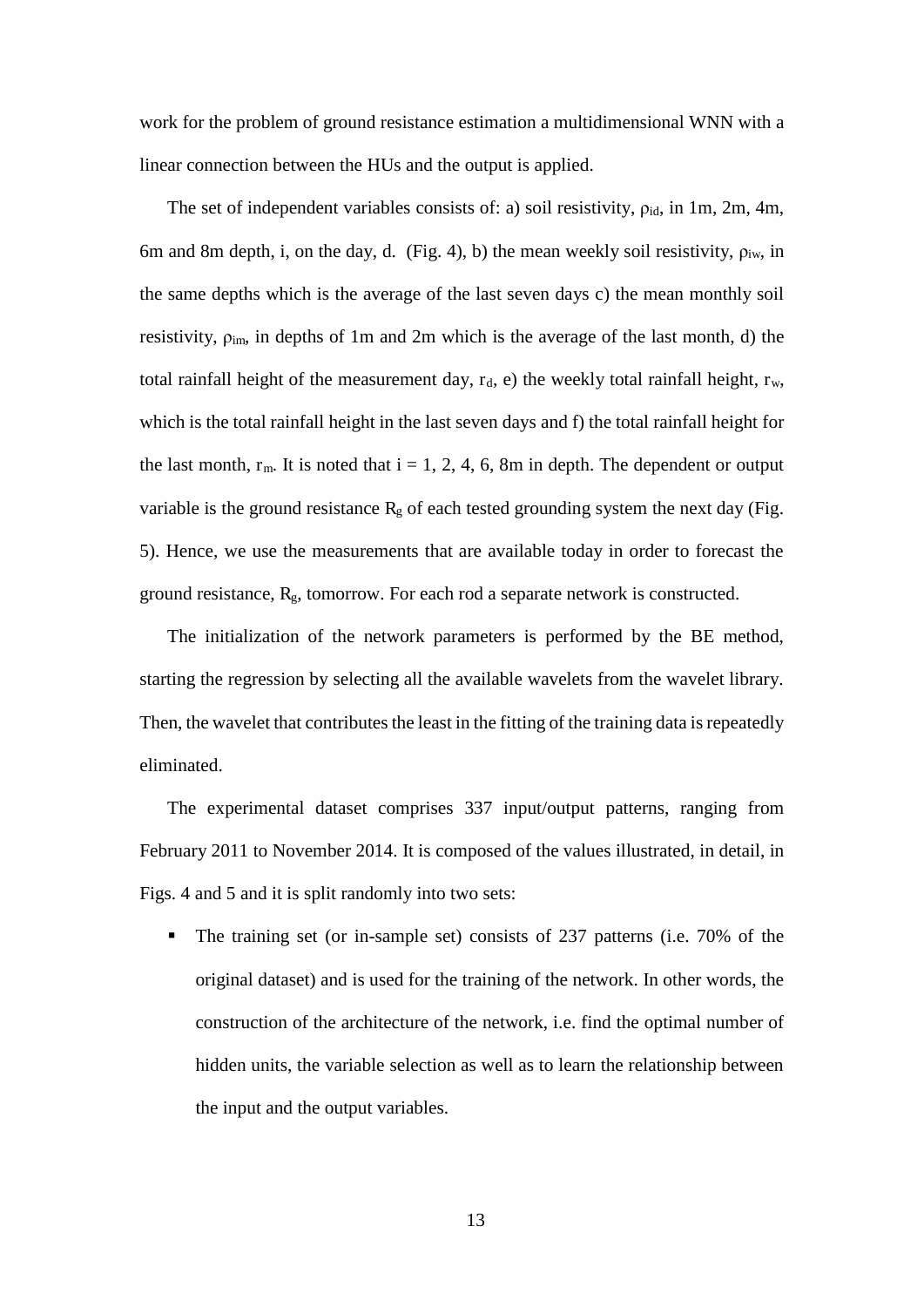work for the problem of ground resistance estimation a multidimensional WNN with a linear connection between the HUs and the output is applied.

The set of independent variables consists of: a) soil resistivity,  $\rho_{id}$ , in 1m, 2m, 4m, 6m and 8m depth, i, on the day, d. (Fig. 4), b) the mean weekly soil resistivity,  $\rho_{iw}$ , in the same depths which is the average of the last seven days c) the mean monthly soil resistivity,  $\rho_{\text{im}}$ , in depths of 1m and 2m which is the average of the last month, d) the total rainfall height of the measurement day,  $r_d$ , e) the weekly total rainfall height,  $r_w$ , which is the total rainfall height in the last seven days and f) the total rainfall height for the last month,  $r_m$ . It is noted that  $i = 1, 2, 4, 6, 8m$  in depth. The dependent or output variable is the ground resistance  $R_g$  of each tested grounding system the next day (Fig. 5). Hence, we use the measurements that are available today in order to forecast the ground resistance,  $R_g$ , tomorrow. For each rod a separate network is constructed.

The initialization of the network parameters is performed by the BE method, starting the regression by selecting all the available wavelets from the wavelet library. Then, the wavelet that contributes the least in the fitting of the training data is repeatedly eliminated.

The experimental dataset comprises 337 input/output patterns, ranging from February 2011 to November 2014. It is composed of the values illustrated, in detail, in Figs. 4 and 5 and it is split randomly into two sets:

 The training set (or in-sample set) consists of 237 patterns (i.e. 70% of the original dataset) and is used for the training of the network. In other words, the construction of the architecture of the network, i.e. find the optimal number of hidden units, the variable selection as well as to learn the relationship between the input and the output variables.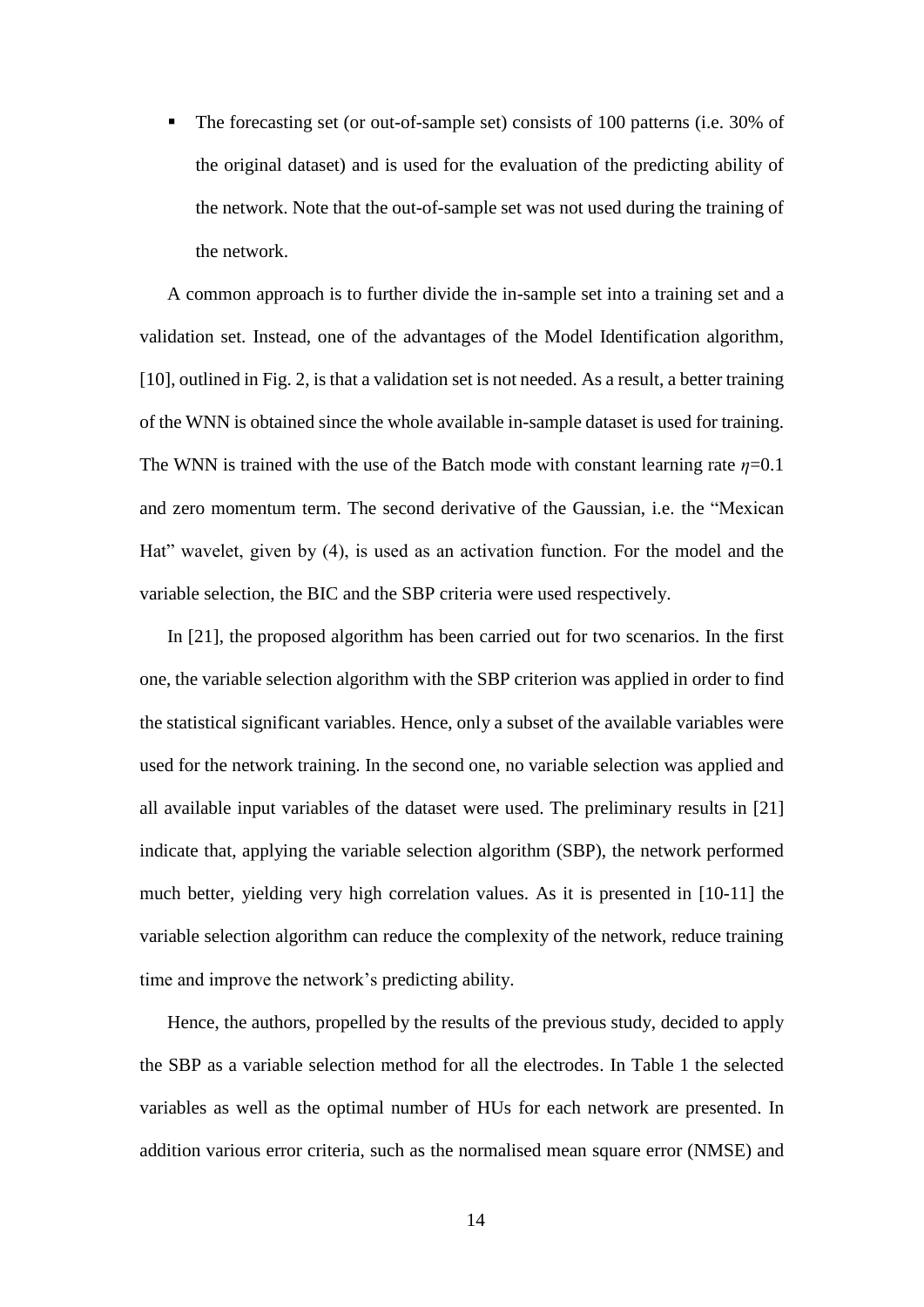The forecasting set (or out-of-sample set) consists of 100 patterns (i.e. 30% of the original dataset) and is used for the evaluation of the predicting ability of the network. Note that the out-of-sample set was not used during the training of the network.

A common approach is to further divide the in-sample set into a training set and a validation set. Instead, one of the advantages of the Model Identification algorithm, [10], outlined in Fig. 2, is that a validation set is not needed. As a result, a better training of the WNN is obtained since the whole available in-sample dataset is used for training. The WNN is trained with the use of the Batch mode with constant learning rate  $\eta$ =0.1 and zero momentum term. The second derivative of the Gaussian, i.e. the "Mexican Hat" wavelet, given by (4), is used as an activation function. For the model and the variable selection, the BIC and the SBP criteria were used respectively.

In [21], the proposed algorithm has been carried out for two scenarios. In the first one, the variable selection algorithm with the SBP criterion was applied in order to find the statistical significant variables. Hence, only a subset of the available variables were used for the network training. In the second one, no variable selection was applied and all available input variables of the dataset were used. The preliminary results in [21] indicate that, applying the variable selection algorithm (SBP), the network performed much better, yielding very high correlation values. As it is presented in [10-11] the variable selection algorithm can reduce the complexity of the network, reduce training time and improve the network's predicting ability.

Hence, the authors, propelled by the results of the previous study, decided to apply the SBP as a variable selection method for all the electrodes. In Table 1 the selected variables as well as the optimal number of HUs for each network are presented. In addition various error criteria, such as the normalised mean square error (NMSE) and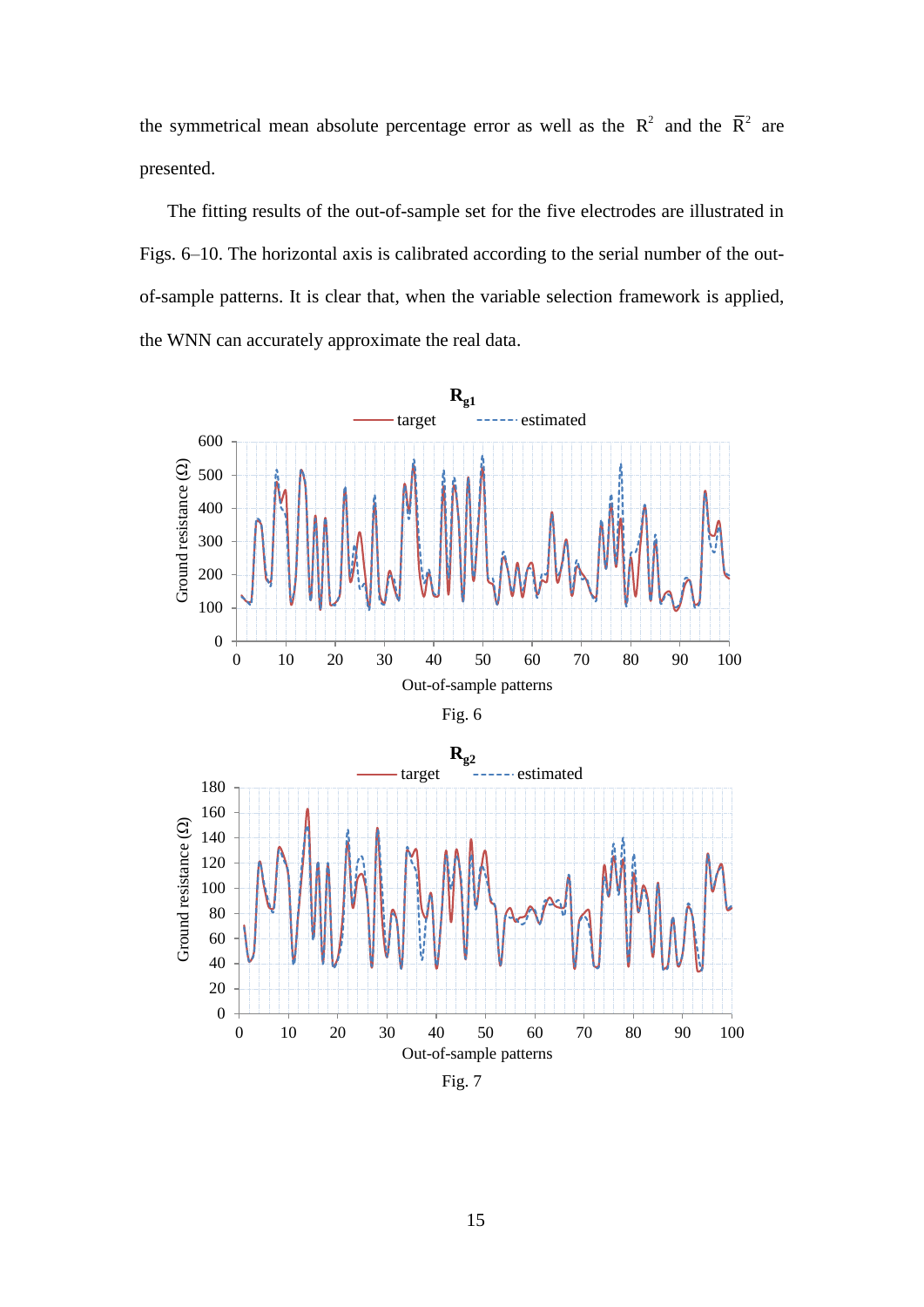the symmetrical mean absolute percentage error as well as the  $R^2$  and the  $\overline{R}^2$  are presented.

The fitting results of the out-of-sample set for the five electrodes are illustrated in Figs. 6–10. The horizontal axis is calibrated according to the serial number of the outof-sample patterns. It is clear that, when the variable selection framework is applied, the WNN can accurately approximate the real data.





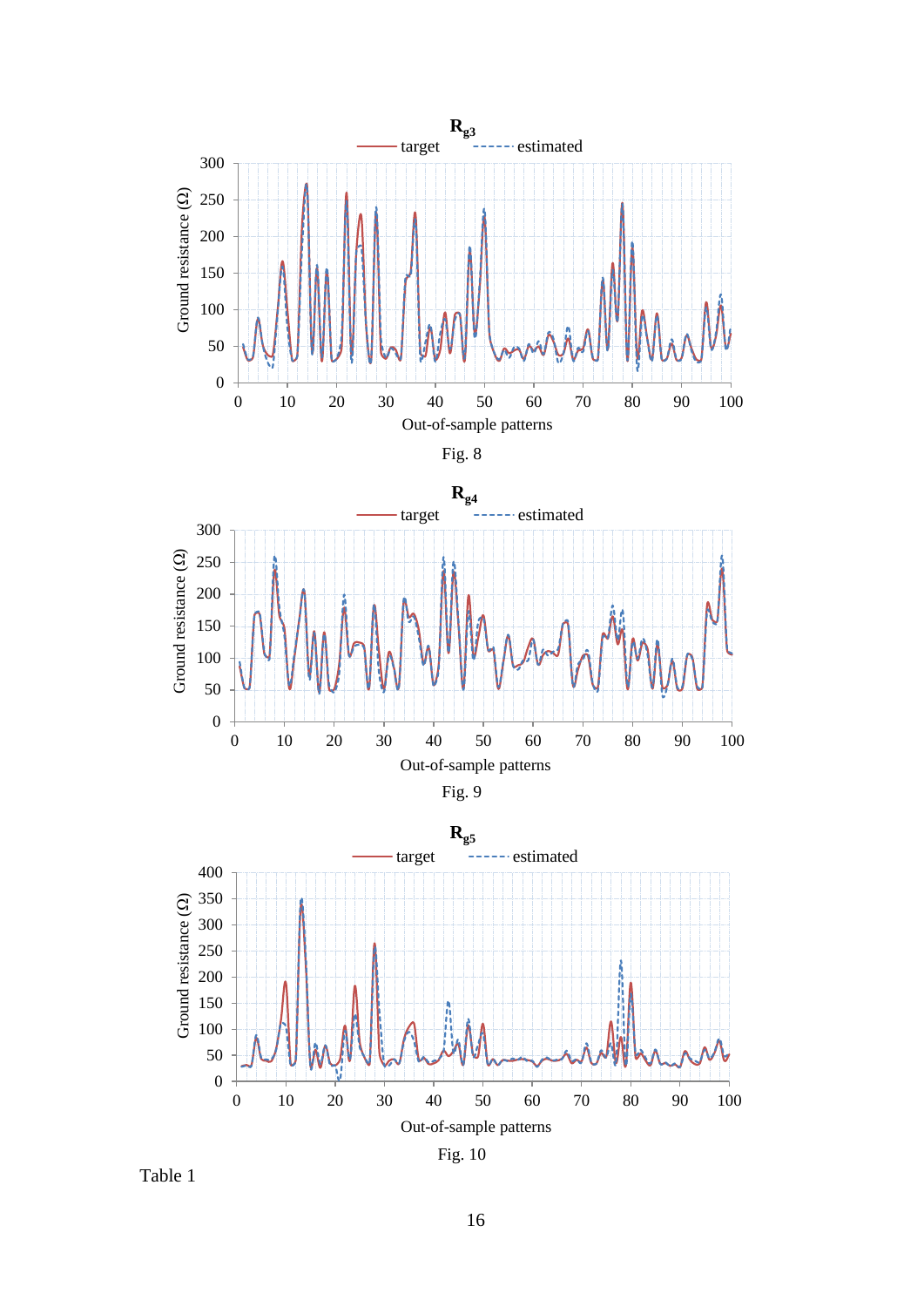







Table 1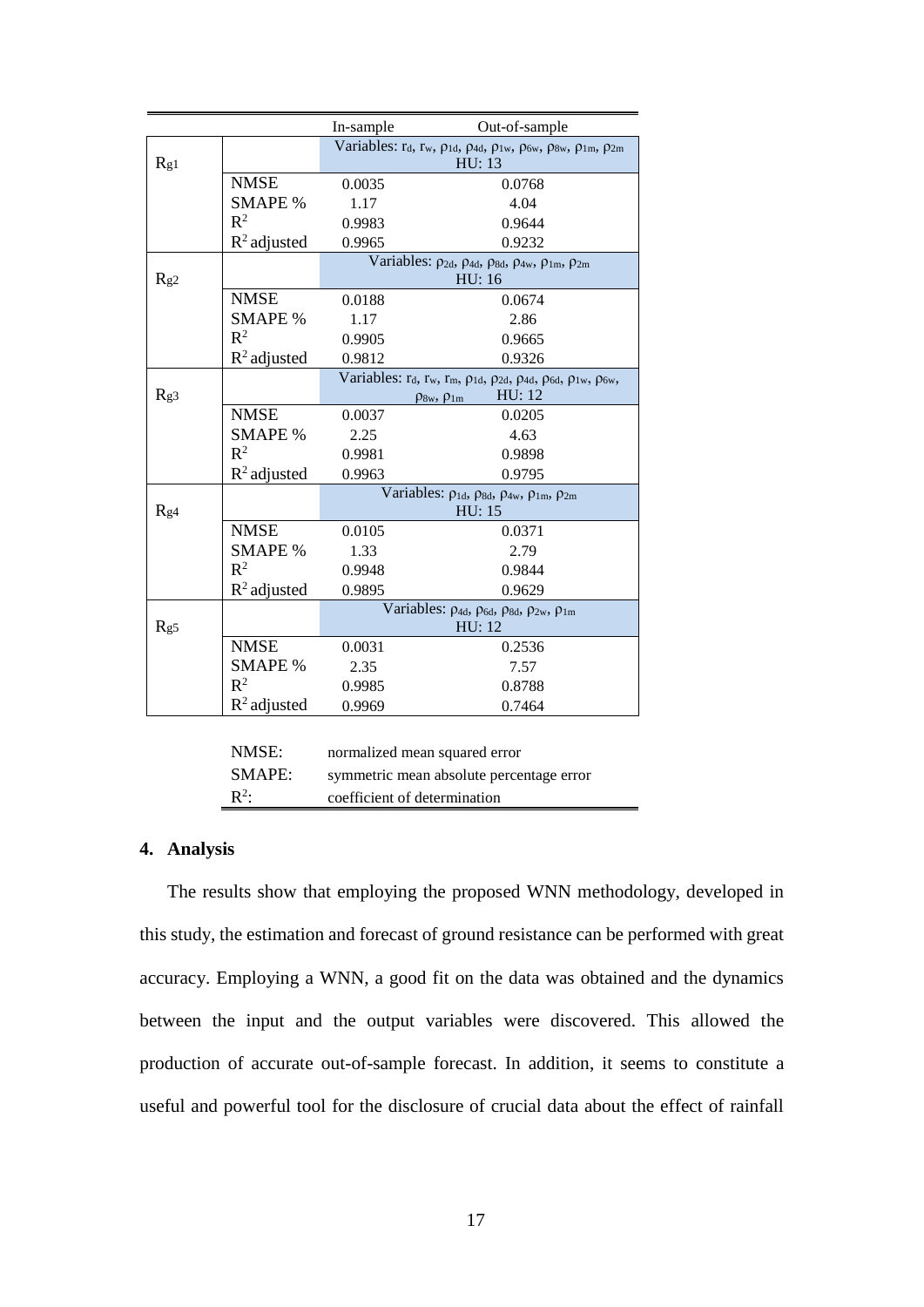|     |                         | In-sample                                                                                                                                                  | Out-of-sample                                                                            |  |  |  |  |  |
|-----|-------------------------|------------------------------------------------------------------------------------------------------------------------------------------------------------|------------------------------------------------------------------------------------------|--|--|--|--|--|
| Rg1 |                         | Variables: $r_d$ , $r_w$ , $\rho_{1d}$ , $\rho_{4d}$ , $\rho_{1w}$ , $\rho_{6w}$ , $\rho_{8w}$ , $\rho_{1m}$ , $\rho_{2m}$<br>HU: 13                       |                                                                                          |  |  |  |  |  |
|     | <b>NMSE</b>             | 0.0035                                                                                                                                                     | 0.0768                                                                                   |  |  |  |  |  |
|     | <b>SMAPE %</b>          | 1.17                                                                                                                                                       | 4.04                                                                                     |  |  |  |  |  |
|     | $R^2$                   | 0.9983                                                                                                                                                     | 0.9644                                                                                   |  |  |  |  |  |
|     | $R^2$ adjusted          | 0.9965                                                                                                                                                     | 0.9232                                                                                   |  |  |  |  |  |
| Rg2 |                         | Variables: $\rho_{2d}$ , $\rho_{4d}$ , $\rho_{8d}$ , $\rho_{4w}$ , $\rho_{1m}$ , $\rho_{2m}$<br>HU: 16                                                     |                                                                                          |  |  |  |  |  |
|     | <b>NMSE</b>             | 0.0188                                                                                                                                                     | 0.0674                                                                                   |  |  |  |  |  |
|     | <b>SMAPE</b> %          | 1.17                                                                                                                                                       | 2.86                                                                                     |  |  |  |  |  |
|     | $R^2$                   | 0.9905                                                                                                                                                     | 0.9665                                                                                   |  |  |  |  |  |
|     | $R^2$ adjusted          | 0.9812                                                                                                                                                     | 0.9326                                                                                   |  |  |  |  |  |
| Rg3 |                         | Variables: $r_d$ , $r_w$ , $r_m$ , $\rho_{1d}$ , $\rho_{2d}$ , $\rho_{4d}$ , $\rho_{6d}$ , $\rho_{1w}$ , $\rho_{6w}$ ,<br>HU: 12<br>$\rho_{8w}, \rho_{1m}$ |                                                                                          |  |  |  |  |  |
|     | <b>NMSE</b>             | 0.0037                                                                                                                                                     | 0.0205                                                                                   |  |  |  |  |  |
|     | <b>SMAPE %</b>          | 2.25                                                                                                                                                       | 4.63                                                                                     |  |  |  |  |  |
|     | $R^2$                   | 0.9981                                                                                                                                                     | 0.9898                                                                                   |  |  |  |  |  |
|     | $R^2$ adjusted          | 0.9963                                                                                                                                                     | 0.9795                                                                                   |  |  |  |  |  |
| Rg4 |                         | Variables: $\rho_{1d}$ , $\rho_{8d}$ , $\rho_{4w}$ , $\rho_{1m}$ , $\rho_{2m}$<br>HU: 15                                                                   |                                                                                          |  |  |  |  |  |
|     | <b>NMSE</b>             | 0.0105                                                                                                                                                     | 0.0371                                                                                   |  |  |  |  |  |
|     | <b>SMAPE %</b>          | 1.33                                                                                                                                                       | 2.79                                                                                     |  |  |  |  |  |
|     | $R^2$                   | 0.9948                                                                                                                                                     | 0.9844                                                                                   |  |  |  |  |  |
|     | $R^2$ adjusted          | 0.9895                                                                                                                                                     | 0.9629                                                                                   |  |  |  |  |  |
| Rg5 |                         |                                                                                                                                                            | Variables: $\rho_{4d}$ , $\rho_{6d}$ , $\rho_{8d}$ , $\rho_{2w}$ , $\rho_{1m}$<br>HU: 12 |  |  |  |  |  |
|     | <b>NMSE</b>             | 0.0031                                                                                                                                                     | 0.2536                                                                                   |  |  |  |  |  |
|     | <b>SMAPE %</b>          | 2.35                                                                                                                                                       | 7.57                                                                                     |  |  |  |  |  |
|     | $R^2$                   | 0.9985                                                                                                                                                     | 0.8788                                                                                   |  |  |  |  |  |
|     | $\mathbb{R}^2$ adjusted | 0.9969                                                                                                                                                     | 0.7464                                                                                   |  |  |  |  |  |
|     | NMSF·                   |                                                                                                                                                            | normalized mean squared error                                                            |  |  |  |  |  |

| SMAPE:           | normalized mean squared error<br>symmetric mean absolute percentage error |
|------------------|---------------------------------------------------------------------------|
| $\mathbb{R}^2$ : | coefficient of determination                                              |

#### **4. Analysis**

The results show that employing the proposed WNN methodology, developed in this study, the estimation and forecast of ground resistance can be performed with great accuracy. Employing a WNN, a good fit on the data was obtained and the dynamics between the input and the output variables were discovered. This allowed the production of accurate out-of-sample forecast. In addition, it seems to constitute a useful and powerful tool for the disclosure of crucial data about the effect of rainfall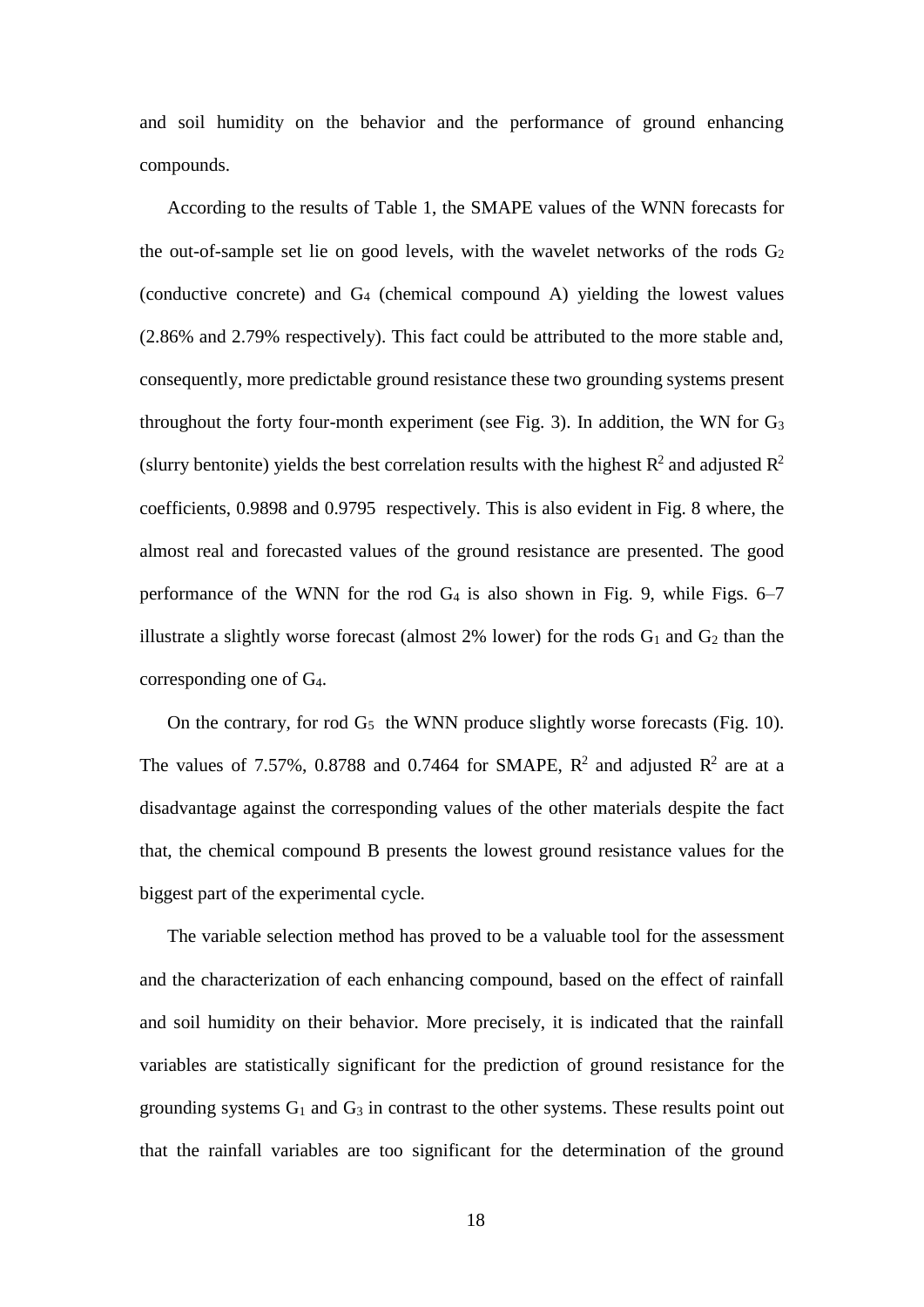and soil humidity on the behavior and the performance of ground enhancing compounds.

According to the results of Table 1, the SMAPE values of the WNN forecasts for the out-of-sample set lie on good levels, with the wavelet networks of the rods  $G_2$ (conductive concrete) and G4 (chemical compound A) yielding the lowest values (2.86% and 2.79% respectively). This fact could be attributed to the more stable and, consequently, more predictable ground resistance these two grounding systems present throughout the forty four-month experiment (see Fig. 3). In addition, the WN for  $G_3$ (slurry bentonite) yields the best correlation results with the highest  $R^2$  and adjusted  $R^2$ coefficients, 0.9898 and 0.9795 respectively. This is also evident in Fig. 8 where, the almost real and forecasted values of the ground resistance are presented. The good performance of the WNN for the rod  $G_4$  is also shown in Fig. 9, while Figs. 6–7 illustrate a slightly worse forecast (almost  $2\%$  lower) for the rods  $G_1$  and  $G_2$  than the corresponding one of G4.

On the contrary, for rod  $G_5$  the WNN produce slightly worse forecasts (Fig. 10). The values of 7.57%, 0.8788 and 0.7464 for SMAPE,  $R^2$  and adjusted  $R^2$  are at a disadvantage against the corresponding values of the other materials despite the fact that, the chemical compound B presents the lowest ground resistance values for the biggest part of the experimental cycle.

The variable selection method has proved to be a valuable tool for the assessment and the characterization of each enhancing compound, based on the effect of rainfall and soil humidity on their behavior. More precisely, it is indicated that the rainfall variables are statistically significant for the prediction of ground resistance for the grounding systems  $G_1$  and  $G_3$  in contrast to the other systems. These results point out that the rainfall variables are too significant for the determination of the ground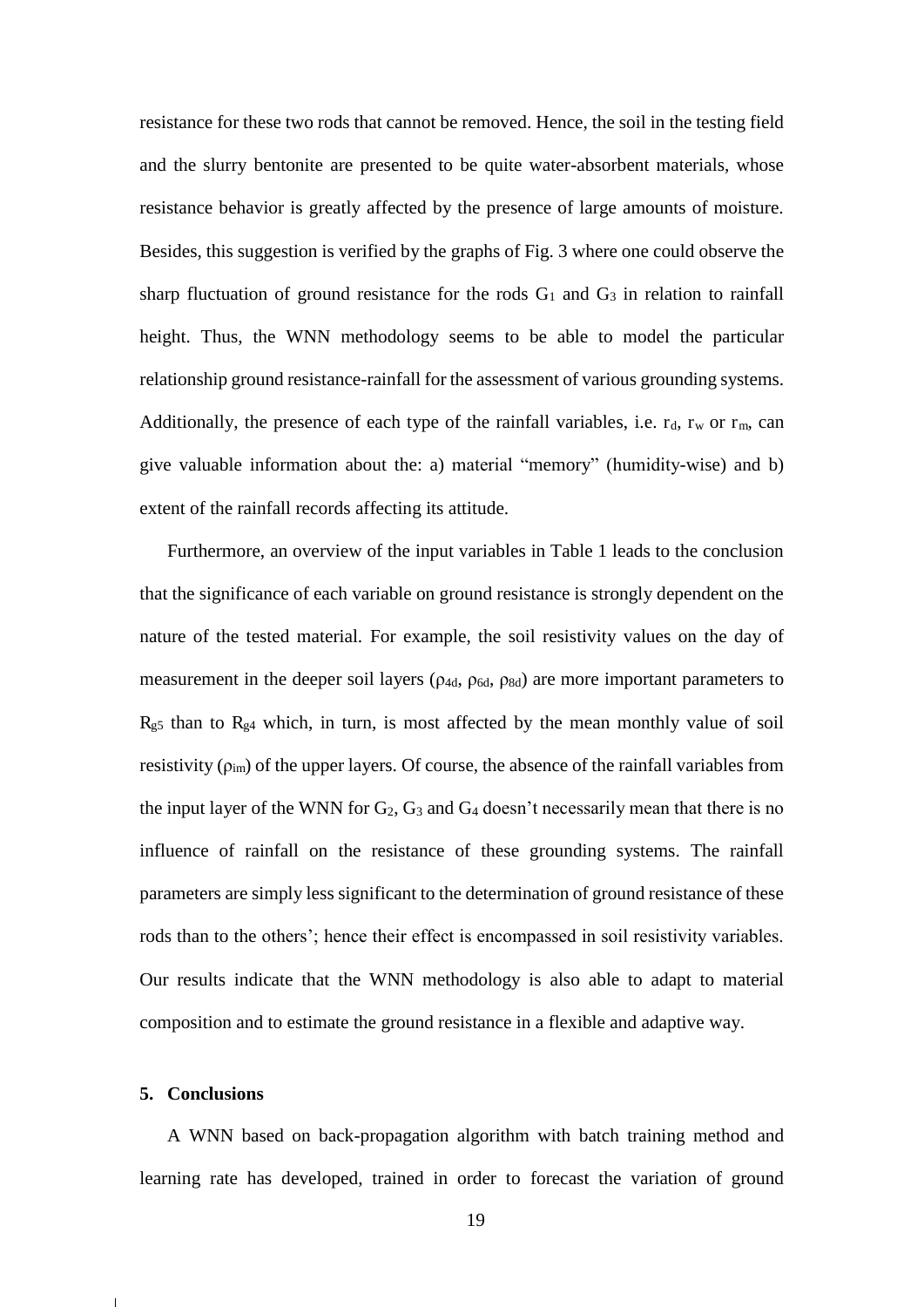resistance for these two rods that cannot be removed. Hence, the soil in the testing field and the slurry bentonite are presented to be quite water-absorbent materials, whose resistance behavior is greatly affected by the presence of large amounts of moisture. Besides, this suggestion is verified by the graphs of Fig. 3 where one could observe the sharp fluctuation of ground resistance for the rods  $G_1$  and  $G_3$  in relation to rainfall height. Thus, the WNN methodology seems to be able to model the particular relationship ground resistance-rainfall for the assessment of various grounding systems. Additionally, the presence of each type of the rainfall variables, i.e.  $r_d$ ,  $r_w$  or  $r_m$ , can give valuable information about the: a) material "memory" (humidity-wise) and b) extent of the rainfall records affecting its attitude.

Furthermore, an overview of the input variables in Table 1 leads to the conclusion that the significance of each variable on ground resistance is strongly dependent on the nature of the tested material. For example, the soil resistivity values on the day of measurement in the deeper soil layers ( $\rho_{4d}$ ,  $\rho_{6d}$ ,  $\rho_{8d}$ ) are more important parameters to  $R_{g5}$  than to  $R_{g4}$  which, in turn, is most affected by the mean monthly value of soil resistivity  $(\rho_{im})$  of the upper layers. Of course, the absence of the rainfall variables from the input layer of the WNN for  $G_2$ ,  $G_3$  and  $G_4$  doesn't necessarily mean that there is no influence of rainfall on the resistance of these grounding systems. The rainfall parameters are simply less significant to the determination of ground resistance of these rods than to the others'; hence their effect is encompassed in soil resistivity variables. Our results indicate that the WNN methodology is also able to adapt to material composition and to estimate the ground resistance in a flexible and adaptive way.

#### **5. Conclusions**

A WNN based on back-propagation algorithm with batch training method and learning rate has developed, trained in order to forecast the variation of ground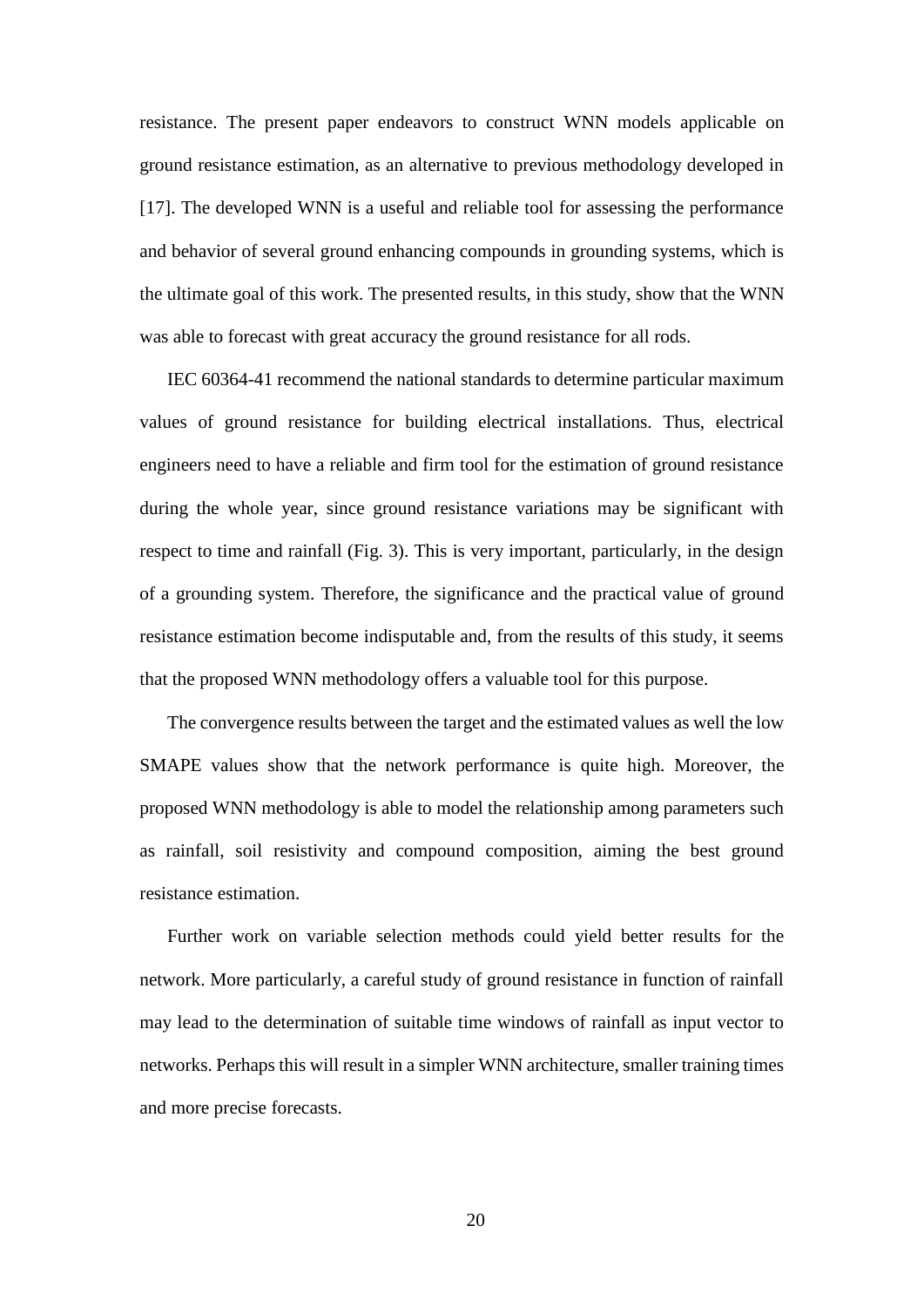resistance. The present paper endeavors to construct WNN models applicable on ground resistance estimation, as an alternative to previous methodology developed in [17]. The developed WNN is a useful and reliable tool for assessing the performance and behavior of several ground enhancing compounds in grounding systems, which is the ultimate goal of this work. The presented results, in this study, show that the WNN was able to forecast with great accuracy the ground resistance for all rods.

IEC 60364-41 recommend the national standards to determine particular maximum values of ground resistance for building electrical installations. Thus, electrical engineers need to have a reliable and firm tool for the estimation of ground resistance during the whole year, since ground resistance variations may be significant with respect to time and rainfall (Fig. 3). This is very important, particularly, in the design of a grounding system. Therefore, the significance and the practical value of ground resistance estimation become indisputable and, from the results of this study, it seems that the proposed WNN methodology offers a valuable tool for this purpose.

The convergence results between the target and the estimated values as well the low SMAPE values show that the network performance is quite high. Moreover, the proposed WNN methodology is able to model the relationship among parameters such as rainfall, soil resistivity and compound composition, aiming the best ground resistance estimation.

Further work on variable selection methods could yield better results for the network. More particularly, a careful study of ground resistance in function of rainfall may lead to the determination of suitable time windows of rainfall as input vector to networks. Perhaps this will result in a simpler WNN architecture, smaller training times and more precise forecasts.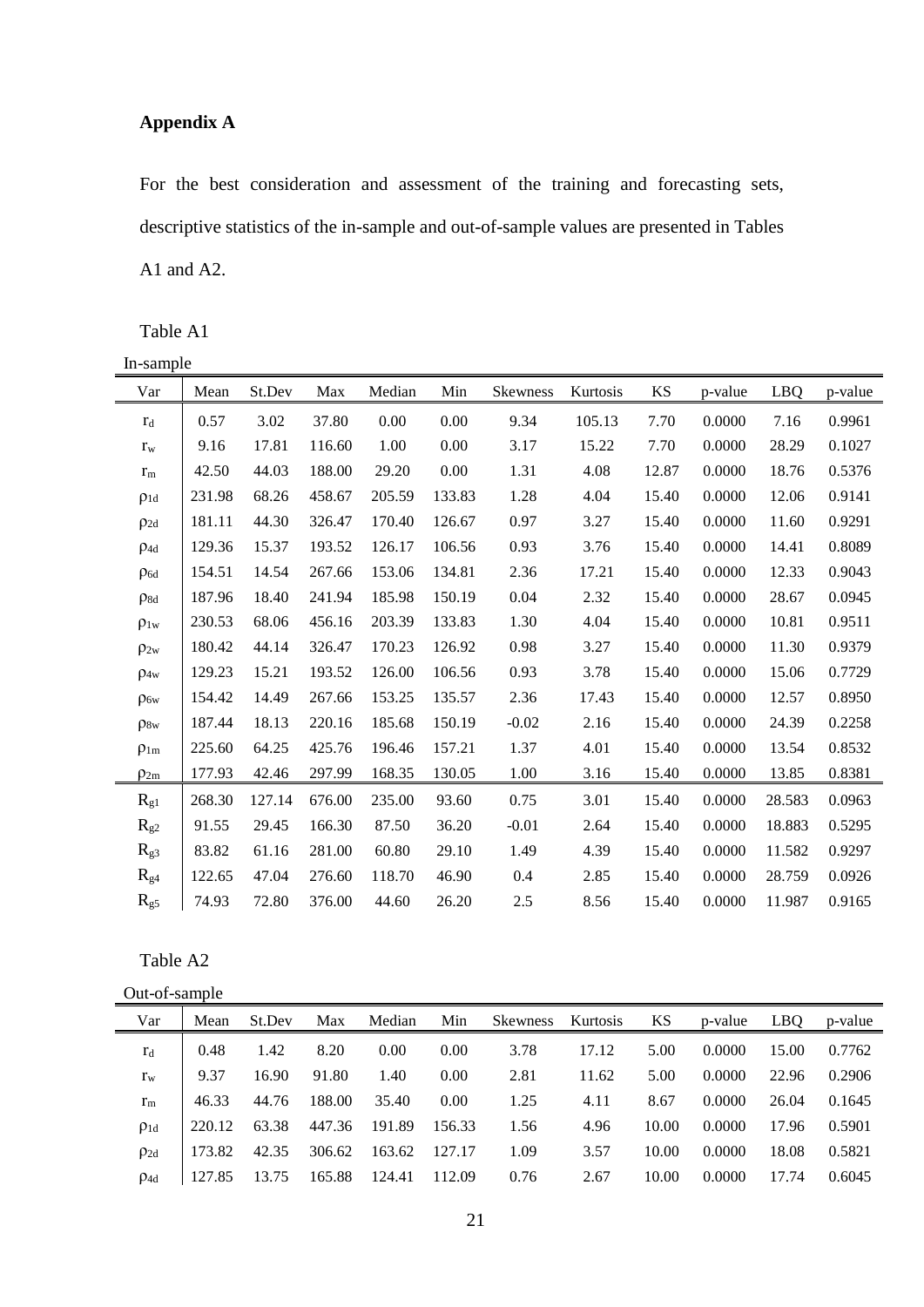### **Appendix A**

For the best consideration and assessment of the training and forecasting sets, descriptive statistics of the in-sample and out-of-sample values are presented in Tables A1 and A2.

Table A1

| In-sample   |        |        |        |        |        |          |          |           |         |        |         |
|-------------|--------|--------|--------|--------|--------|----------|----------|-----------|---------|--------|---------|
| Var         | Mean   | St.Dev | Max    | Median | Min    | Skewness | Kurtosis | <b>KS</b> | p-value | LBQ    | p-value |
| $r_d$       | 0.57   | 3.02   | 37.80  | 0.00   | 0.00   | 9.34     | 105.13   | 7.70      | 0.0000  | 7.16   | 0.9961  |
| $r_{w}$     | 9.16   | 17.81  | 116.60 | 1.00   | 0.00   | 3.17     | 15.22    | 7.70      | 0.0000  | 28.29  | 0.1027  |
| $r_{m}$     | 42.50  | 44.03  | 188.00 | 29.20  | 0.00   | 1.31     | 4.08     | 12.87     | 0.0000  | 18.76  | 0.5376  |
| $\rho_{1d}$ | 231.98 | 68.26  | 458.67 | 205.59 | 133.83 | 1.28     | 4.04     | 15.40     | 0.0000  | 12.06  | 0.9141  |
| $\rho_{2d}$ | 181.11 | 44.30  | 326.47 | 170.40 | 126.67 | 0.97     | 3.27     | 15.40     | 0.0000  | 11.60  | 0.9291  |
| $p_{4d}$    | 129.36 | 15.37  | 193.52 | 126.17 | 106.56 | 0.93     | 3.76     | 15.40     | 0.0000  | 14.41  | 0.8089  |
| $\rho_{6d}$ | 154.51 | 14.54  | 267.66 | 153.06 | 134.81 | 2.36     | 17.21    | 15.40     | 0.0000  | 12.33  | 0.9043  |
| $\rho_{8d}$ | 187.96 | 18.40  | 241.94 | 185.98 | 150.19 | 0.04     | 2.32     | 15.40     | 0.0000  | 28.67  | 0.0945  |
| $\rho_{1w}$ | 230.53 | 68.06  | 456.16 | 203.39 | 133.83 | 1.30     | 4.04     | 15.40     | 0.0000  | 10.81  | 0.9511  |
| $\rho_{2w}$ | 180.42 | 44.14  | 326.47 | 170.23 | 126.92 | 0.98     | 3.27     | 15.40     | 0.0000  | 11.30  | 0.9379  |
| $\rho_{4w}$ | 129.23 | 15.21  | 193.52 | 126.00 | 106.56 | 0.93     | 3.78     | 15.40     | 0.0000  | 15.06  | 0.7729  |
| $\rho_{6w}$ | 154.42 | 14.49  | 267.66 | 153.25 | 135.57 | 2.36     | 17.43    | 15.40     | 0.0000  | 12.57  | 0.8950  |
| $\rho_{8w}$ | 187.44 | 18.13  | 220.16 | 185.68 | 150.19 | $-0.02$  | 2.16     | 15.40     | 0.0000  | 24.39  | 0.2258  |
| $\rho_{1m}$ | 225.60 | 64.25  | 425.76 | 196.46 | 157.21 | 1.37     | 4.01     | 15.40     | 0.0000  | 13.54  | 0.8532  |
| $\rho_{2m}$ | 177.93 | 42.46  | 297.99 | 168.35 | 130.05 | 1.00     | 3.16     | 15.40     | 0.0000  | 13.85  | 0.8381  |
| $R_{g1}$    | 268.30 | 127.14 | 676.00 | 235.00 | 93.60  | 0.75     | 3.01     | 15.40     | 0.0000  | 28.583 | 0.0963  |
| $R_{g2}$    | 91.55  | 29.45  | 166.30 | 87.50  | 36.20  | $-0.01$  | 2.64     | 15.40     | 0.0000  | 18.883 | 0.5295  |
| $R_{g3}$    | 83.82  | 61.16  | 281.00 | 60.80  | 29.10  | 1.49     | 4.39     | 15.40     | 0.0000  | 11.582 | 0.9297  |
| $R_{g4}$    | 122.65 | 47.04  | 276.60 | 118.70 | 46.90  | 0.4      | 2.85     | 15.40     | 0.0000  | 28.759 | 0.0926  |
| $R_{g5}$    | 74.93  | 72.80  | 376.00 | 44.60  | 26.20  | 2.5      | 8.56     | 15.40     | 0.0000  | 11.987 | 0.9165  |

#### Table A2

Out-of-sample

| Var             | Mean   | St.Dev | Max    | Median | Min    | Skewness | Kurtosis | KS    | p-value | LBO   | p-value |
|-----------------|--------|--------|--------|--------|--------|----------|----------|-------|---------|-------|---------|
| $r_d$           | 0.48   | 1.42   | 8.20   | 0.00   | 0.00   | 3.78     | 17.12    | 5.00  | 0.0000  | 15.00 | 0.7762  |
| $r_{\rm w}$     | 9.37   | 16.90  | 91.80  | 1.40   | 0.00   | 2.81     | 11.62    | 5.00  | 0.0000  | 22.96 | 0.2906  |
| $r_{\rm m}$     | 46.33  | 44.76  | 188.00 | 35.40  | 0.00   | 1.25     | 4.11     | 8.67  | 0.0000  | 26.04 | 0.1645  |
| $\rho_{1d}$     | 220.12 | 63.38  | 447.36 | 191.89 | 156.33 | 1.56     | 4.96     | 10.00 | 0.0000  | 17.96 | 0.5901  |
| $\rho_{2d}$     | 173.82 | 42.35  | 306.62 | 163.62 | 127.17 | 1.09     | 3.57     | 10.00 | 0.0000  | 18.08 | 0.5821  |
| $\rho_{\rm 4d}$ | 127.85 | 13.75  | 165.88 | 124.41 | 112.09 | 0.76     | 2.67     | 10.00 | 0.0000  | 17.74 | 0.6045  |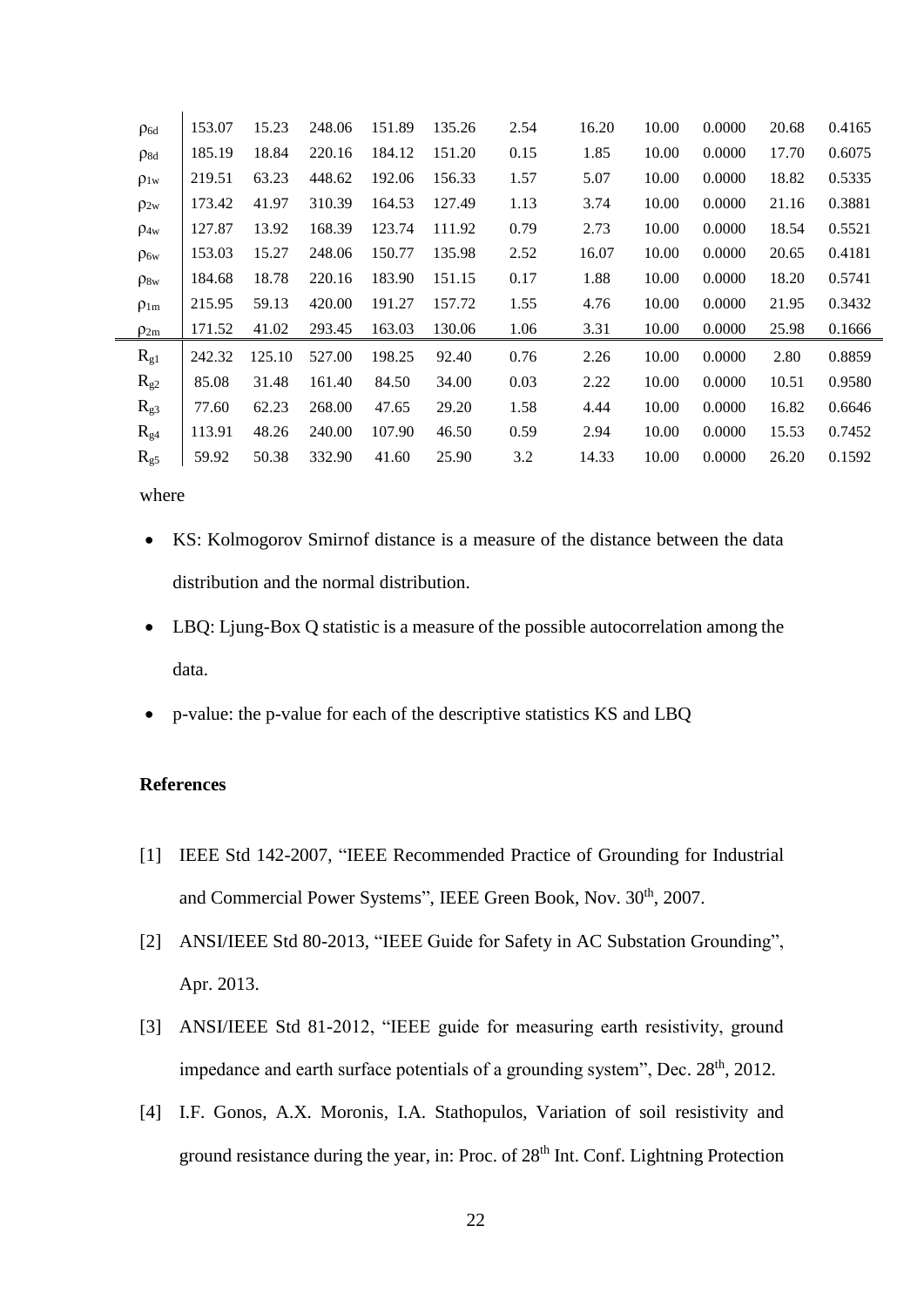| $\rho_{6d}$ | 153.07 | 15.23  | 248.06 | 151.89 | 135.26 | 2.54 | 16.20 | 10.00 | 0.0000 | 20.68 | 0.4165 |
|-------------|--------|--------|--------|--------|--------|------|-------|-------|--------|-------|--------|
| $p_{8d}$    | 185.19 | 18.84  | 220.16 | 184.12 | 151.20 | 0.15 | 1.85  | 10.00 | 0.0000 | 17.70 | 0.6075 |
| $\rho_{1w}$ | 219.51 | 63.23  | 448.62 | 192.06 | 156.33 | 1.57 | 5.07  | 10.00 | 0.0000 | 18.82 | 0.5335 |
| $\rho_{2w}$ | 173.42 | 41.97  | 310.39 | 164.53 | 127.49 | 1.13 | 3.74  | 10.00 | 0.0000 | 21.16 | 0.3881 |
| $\rho_{4w}$ | 127.87 | 13.92  | 168.39 | 123.74 | 111.92 | 0.79 | 2.73  | 10.00 | 0.0000 | 18.54 | 0.5521 |
| $\rho_{6w}$ | 153.03 | 15.27  | 248.06 | 150.77 | 135.98 | 2.52 | 16.07 | 10.00 | 0.0000 | 20.65 | 0.4181 |
| $\rho_{8w}$ | 184.68 | 18.78  | 220.16 | 183.90 | 151.15 | 0.17 | 1.88  | 10.00 | 0.0000 | 18.20 | 0.5741 |
| $\rho_{1m}$ | 215.95 | 59.13  | 420.00 | 191.27 | 157.72 | 1.55 | 4.76  | 10.00 | 0.0000 | 21.95 | 0.3432 |
| $\rho_{2m}$ | 171.52 | 41.02  | 293.45 | 163.03 | 130.06 | 1.06 | 3.31  | 10.00 | 0.0000 | 25.98 | 0.1666 |
| $R_{g1}$    | 242.32 | 125.10 | 527.00 | 198.25 | 92.40  | 0.76 | 2.26  | 10.00 | 0.0000 | 2.80  | 0.8859 |
| $R_{g2}$    | 85.08  | 31.48  | 161.40 | 84.50  | 34.00  | 0.03 | 2.22  | 10.00 | 0.0000 | 10.51 | 0.9580 |
| $R_{g3}$    | 77.60  | 62.23  | 268.00 | 47.65  | 29.20  | 1.58 | 4.44  | 10.00 | 0.0000 | 16.82 | 0.6646 |
| $R_{g4}$    | 113.91 | 48.26  | 240.00 | 107.90 | 46.50  | 0.59 | 2.94  | 10.00 | 0.0000 | 15.53 | 0.7452 |
| $R_{g5}$    | 59.92  | 50.38  | 332.90 | 41.60  | 25.90  | 3.2  | 14.33 | 10.00 | 0.0000 | 26.20 | 0.1592 |

where

- KS: Kolmogorov Smirnof distance is a measure of the distance between the data distribution and the normal distribution.
- LBQ: Ljung-Box Q statistic is a measure of the possible autocorrelation among the data.
- p-value: the p-value for each of the descriptive statistics KS and LBQ

#### **References**

- [1] IEEE Std 142-2007, "IEEE Recommended Practice of Grounding for Industrial and Commercial Power Systems", IEEE Green Book, Nov. 30<sup>th</sup>, 2007.
- [2] ANSI/IEEE Std 80-2013, "IEEE Guide for Safety in AC Substation Grounding", Apr. 2013.
- [3] ANSI/IEEE Std 81-2012, "IEEE guide for measuring earth resistivity, ground impedance and earth surface potentials of a grounding system", Dec.  $28<sup>th</sup>$ ,  $2012$ .
- [4] I.F. Gonos, A.X. Moronis, I.A. Stathopulos, Variation of soil resistivity and ground resistance during the year, in: Proc. of 28th Int. Conf. Lightning Protection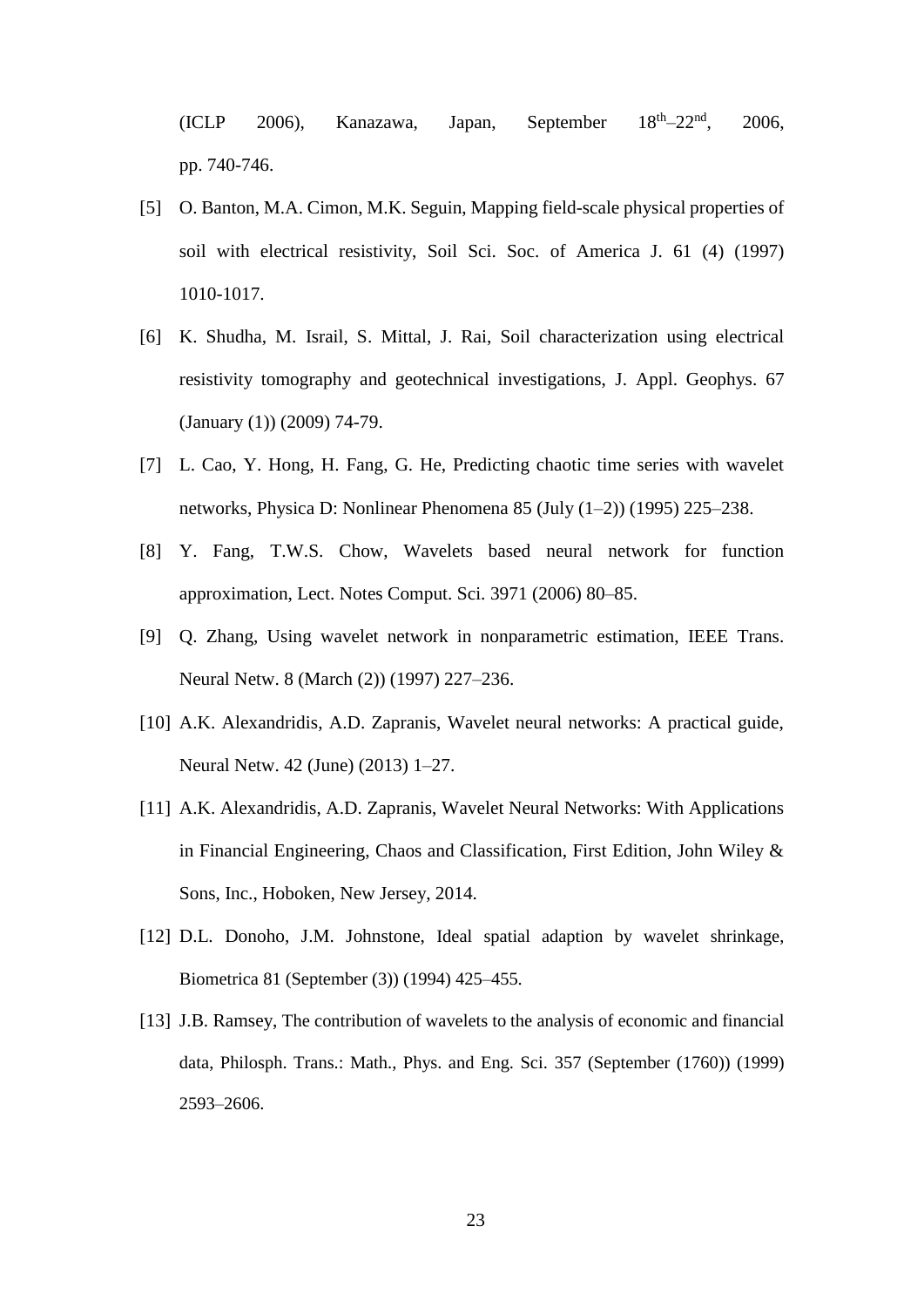$(ICLP 2006)$ , Kanazawa, Japan, September  $18^{\text{th}} - 22^{\text{nd}}$ , 2006, pp. 740-746.

- [5] O. Banton, M.A. Cimon, M.K. Seguin, Mapping field-scale physical properties of soil with electrical resistivity, Soil Sci. Soc. of America J. 61 (4) (1997) 1010-1017.
- [6] K. Shudha, M. Israil, S. Mittal, J. Rai, Soil characterization using electrical resistivity tomography and geotechnical investigations, J. Appl. Geophys. 67 (January (1)) (2009) 74-79.
- [7] L. Cao, Y. Hong, H. Fang, G. He, Predicting chaotic time series with wavelet networks, Physica D: Nonlinear Phenomena 85 (July (1–2)) (1995) 225–238.
- [8] Y. Fang, T.W.S. Chow, Wavelets based neural network for function approximation, Lect. Notes Comput. Sci. 3971 (2006) 80–85.
- [9] Q. Zhang, Using wavelet network in nonparametric estimation, IEEE Trans. Neural Netw. 8 (March (2)) (1997) 227–236.
- [10] A.K. Alexandridis, A.D. Zapranis, Wavelet neural networks: A practical guide, Neural Netw. 42 (June) (2013) 1–27.
- [11] A.K. Alexandridis, A.D. Zapranis, Wavelet Neural Networks: With Applications in Financial Engineering, Chaos and Classification, First Edition, John Wiley & Sons, Inc., Hoboken, New Jersey, 2014.
- [12] D.L. Donoho, J.M. Johnstone, Ideal spatial adaption by wavelet shrinkage, Biometrica 81 (September (3)) (1994) 425–455.
- [13] J.B. Ramsey, The contribution of wavelets to the analysis of economic and financial data, Philosph. Trans.: Math., Phys. and Eng. Sci. 357 (September (1760)) (1999) 2593–2606.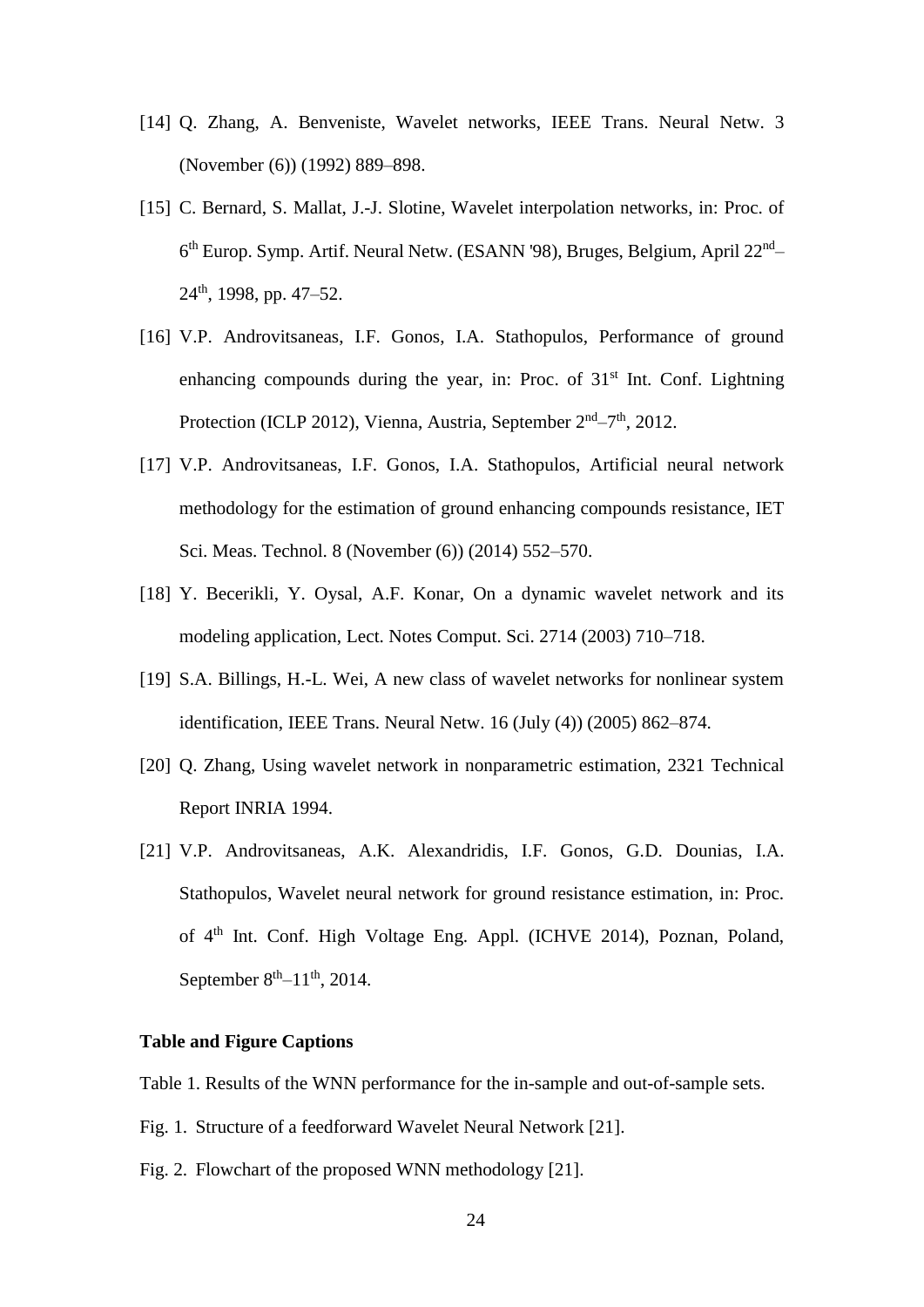- [14] Q. Zhang, A. Benveniste, Wavelet networks, IEEE Trans. Neural Netw. 3 (November (6)) (1992) 889–898.
- [15] C. Bernard, S. Mallat, J.-J. Slotine, Wavelet interpolation networks, in: Proc. of 6<sup>th</sup> Europ. Symp. Artif. Neural Netw. (ESANN '98), Bruges, Belgium, April 22<sup>nd</sup>- $24<sup>th</sup>$ , 1998, pp. 47–52.
- [16] V.P. Androvitsaneas, I.F. Gonos, I.A. Stathopulos, Performance of ground enhancing compounds during the year, in: Proc. of  $31<sup>st</sup>$  Int. Conf. Lightning Protection (ICLP 2012), Vienna, Austria, September 2<sup>nd</sup>-7<sup>th</sup>, 2012.
- [17] V.P. Androvitsaneas, I.F. Gonos, I.A. Stathopulos, Artificial neural network methodology for the estimation of ground enhancing compounds resistance, IET Sci. Meas. Technol. 8 (November (6)) (2014) 552–570.
- [18] Y. Becerikli, Y. Oysal, A.F. Konar, On a dynamic wavelet network and its modeling application, Lect. Notes Comput. Sci. 2714 (2003) 710–718.
- [19] S.A. Billings, H.-L. Wei, A new class of wavelet networks for nonlinear system identification, IEEE Trans. Neural Netw. 16 (July (4)) (2005) 862–874.
- [20] Q. Zhang, Using wavelet network in nonparametric estimation, 2321 Technical Report INRIA 1994.
- [21] V.P. Androvitsaneas, A.K. Alexandridis, I.F. Gonos, G.D. Dounias, I.A. Stathopulos, Wavelet neural network for ground resistance estimation, in: Proc. of 4th Int. Conf. High Voltage Eng. Appl. (ICHVE 2014), Poznan, Poland, September  $8<sup>th</sup> - 11<sup>th</sup>$ , 2014.

#### **Table and Figure Captions**

Table 1. Results of the WNN performance for the in-sample and out-of-sample sets.

- Fig. 1. Structure of a feedforward Wavelet Neural Network [21].
- Fig. 2. Flowchart of the proposed WNN methodology [21].